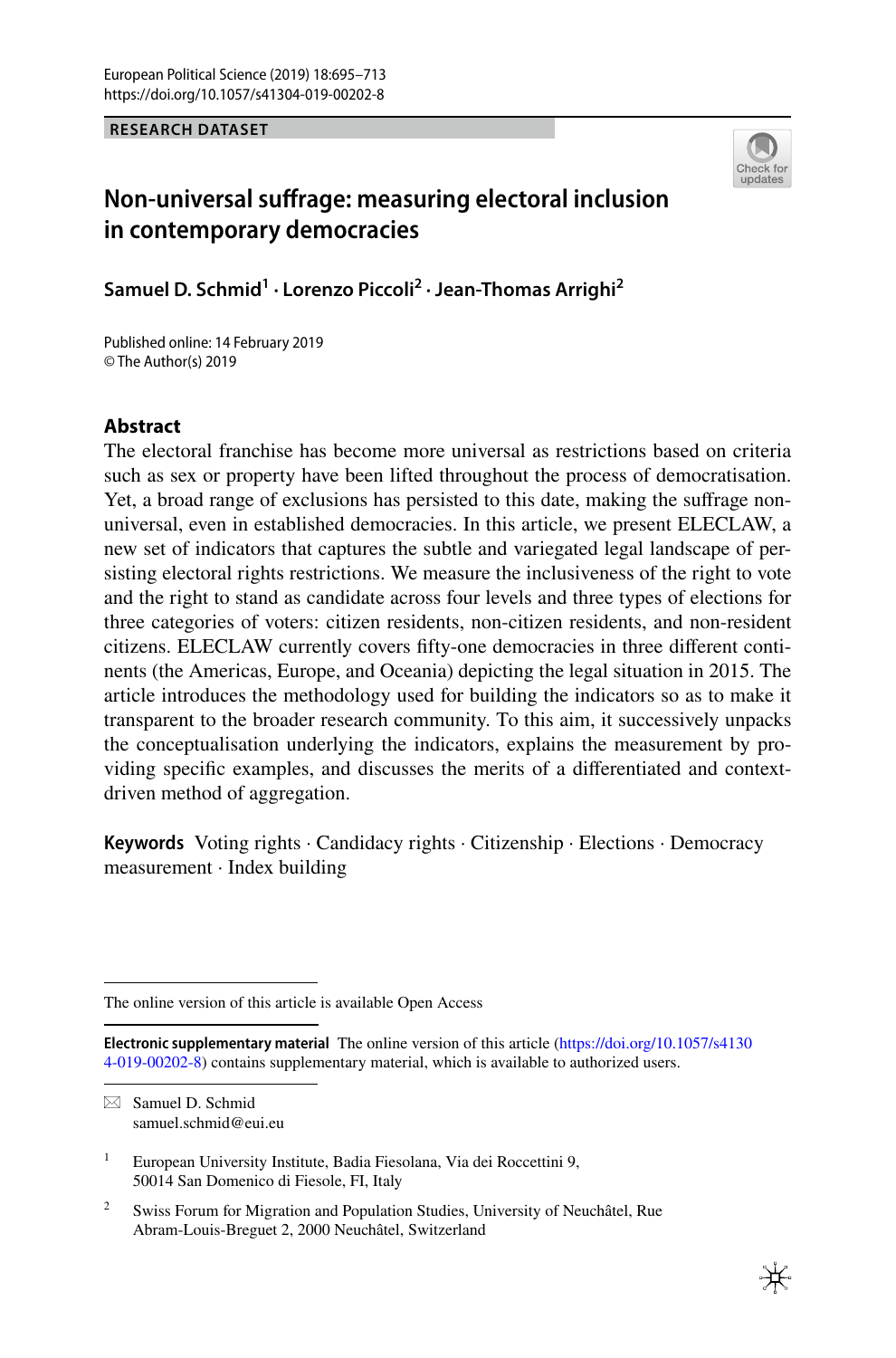### **RESEARCH DATASET**



# **Non‑universal sufrage: measuring electoral inclusion in contemporary democracies**

**Samuel D. Schmid1 · Lorenzo Piccoli<sup>2</sup> · Jean‑Thomas Arrighi2**

Published online: 14 February 2019 © The Author(s) 2019

# **Abstract**

The electoral franchise has become more universal as restrictions based on criteria such as sex or property have been lifted throughout the process of democratisation. Yet, a broad range of exclusions has persisted to this date, making the sufrage nonuniversal, even in established democracies. In this article, we present ELECLAW, a new set of indicators that captures the subtle and variegated legal landscape of persisting electoral rights restrictions. We measure the inclusiveness of the right to vote and the right to stand as candidate across four levels and three types of elections for three categories of voters: citizen residents, non-citizen residents, and non-resident citizens. ELECLAW currently covers ffty-one democracies in three diferent continents (the Americas, Europe, and Oceania) depicting the legal situation in 2015. The article introduces the methodology used for building the indicators so as to make it transparent to the broader research community. To this aim, it successively unpacks the conceptualisation underlying the indicators, explains the measurement by providing specifc examples, and discusses the merits of a diferentiated and contextdriven method of aggregation.

**Keywords** Voting rights · Candidacy rights · Citizenship · Elections · Democracy measurement · Index building

The online version of this article is available Open Access

 $\boxtimes$  Samuel D. Schmid samuel.schmid@eui.eu

<sup>1</sup> European University Institute, Badia Fiesolana, Via dei Roccettini 9, 50014 San Domenico di Fiesole, FI, Italy

**Electronic supplementary material** The online version of this article ([https://doi.org/10.1057/s4130](https://doi.org/10.1057/s41304-019-00202-8) [4-019-00202-8](https://doi.org/10.1057/s41304-019-00202-8)) contains supplementary material, which is available to authorized users.

<sup>&</sup>lt;sup>2</sup> Swiss Forum for Migration and Population Studies, University of Neuchâtel, Rue Abram-Louis-Breguet 2, 2000 Neuchâtel, Switzerland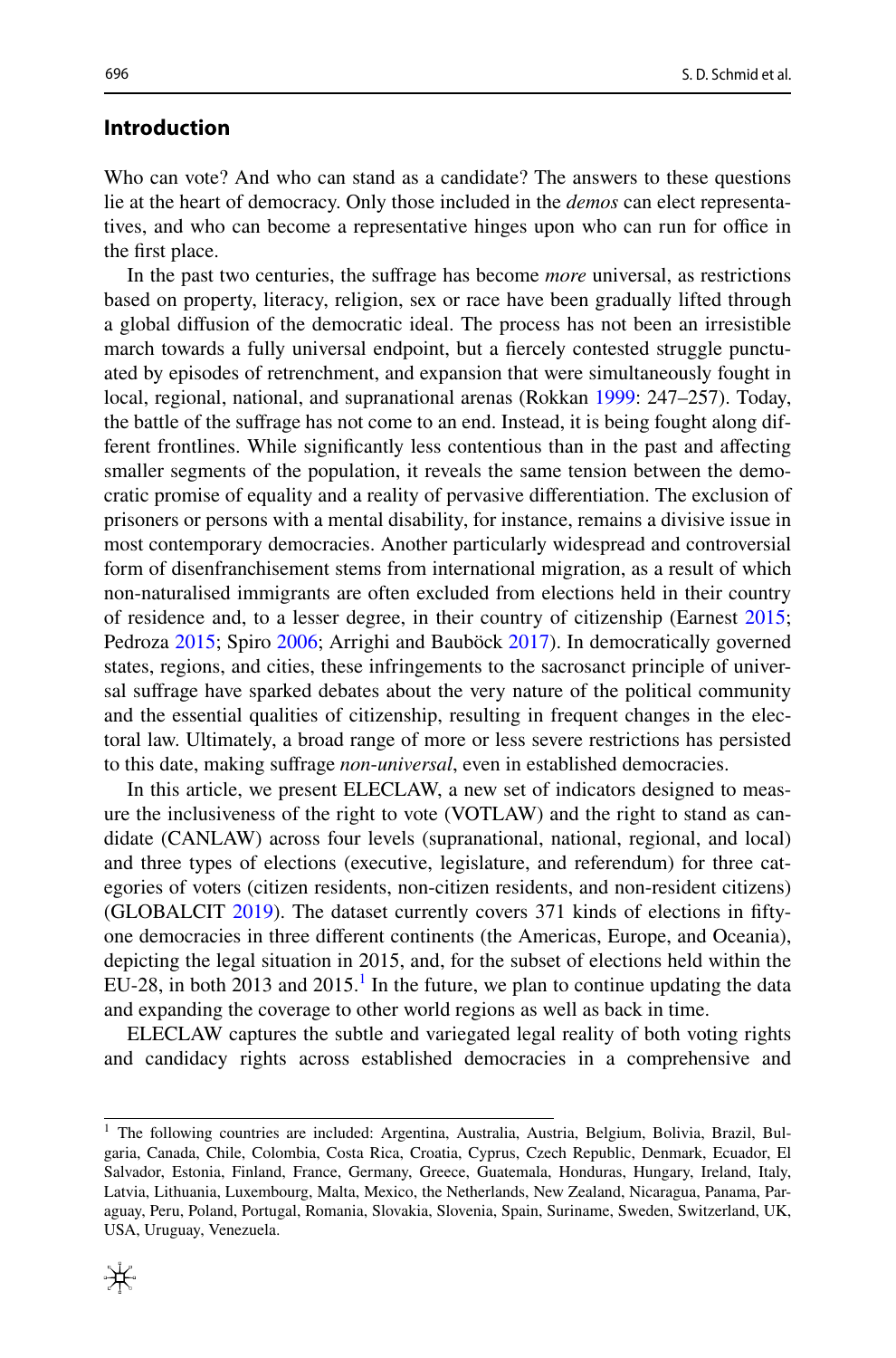# **Introduction**

Who can vote? And who can stand as a candidate? The answers to these questions lie at the heart of democracy. Only those included in the *demos* can elect representatives, and who can become a representative hinges upon who can run for office in the frst place.

In the past two centuries, the sufrage has become *more* universal, as restrictions based on property, literacy, religion, sex or race have been gradually lifted through a global difusion of the democratic ideal. The process has not been an irresistible march towards a fully universal endpoint, but a fercely contested struggle punctuated by episodes of retrenchment, and expansion that were simultaneously fought in local, regional, national, and supranational arenas (Rokkan [1999:](#page-17-0) 247–257). Today, the battle of the sufrage has not come to an end. Instead, it is being fought along different frontlines. While signifcantly less contentious than in the past and afecting smaller segments of the population, it reveals the same tension between the democratic promise of equality and a reality of pervasive diferentiation. The exclusion of prisoners or persons with a mental disability, for instance, remains a divisive issue in most contemporary democracies. Another particularly widespread and controversial form of disenfranchisement stems from international migration, as a result of which non-naturalised immigrants are often excluded from elections held in their country of residence and, to a lesser degree, in their country of citizenship (Earnest [2015;](#page-17-1) Pedroza [2015;](#page-17-2) Spiro [2006;](#page-18-0) Arrighi and Bauböck [2017\)](#page-16-0). In democratically governed states, regions, and cities, these infringements to the sacrosanct principle of universal sufrage have sparked debates about the very nature of the political community and the essential qualities of citizenship, resulting in frequent changes in the electoral law. Ultimately, a broad range of more or less severe restrictions has persisted to this date, making sufrage *non*-*universal*, even in established democracies.

In this article, we present ELECLAW, a new set of indicators designed to measure the inclusiveness of the right to vote (VOTLAW) and the right to stand as candidate (CANLAW) across four levels (supranational, national, regional, and local) and three types of elections (executive, legislature, and referendum) for three categories of voters (citizen residents, non-citizen residents, and non-resident citizens) (GLOBALCIT [2019](#page-17-3)). The dataset currently covers 371 kinds of elections in fftyone democracies in three diferent continents (the Americas, Europe, and Oceania), depicting the legal situation in 2015, and, for the subset of elections held within the EU-28, in both 20[1](#page-1-0)3 and 2015.<sup>1</sup> In the future, we plan to continue updating the data and expanding the coverage to other world regions as well as back in time.

ELECLAW captures the subtle and variegated legal reality of both voting rights and candidacy rights across established democracies in a comprehensive and

<span id="page-1-0"></span><sup>&</sup>lt;sup>1</sup> The following countries are included: Argentina, Australia, Austria, Belgium, Bolivia, Brazil, Bulgaria, Canada, Chile, Colombia, Costa Rica, Croatia, Cyprus, Czech Republic, Denmark, Ecuador, El Salvador, Estonia, Finland, France, Germany, Greece, Guatemala, Honduras, Hungary, Ireland, Italy, Latvia, Lithuania, Luxembourg, Malta, Mexico, the Netherlands, New Zealand, Nicaragua, Panama, Paraguay, Peru, Poland, Portugal, Romania, Slovakia, Slovenia, Spain, Suriname, Sweden, Switzerland, UK, USA, Uruguay, Venezuela.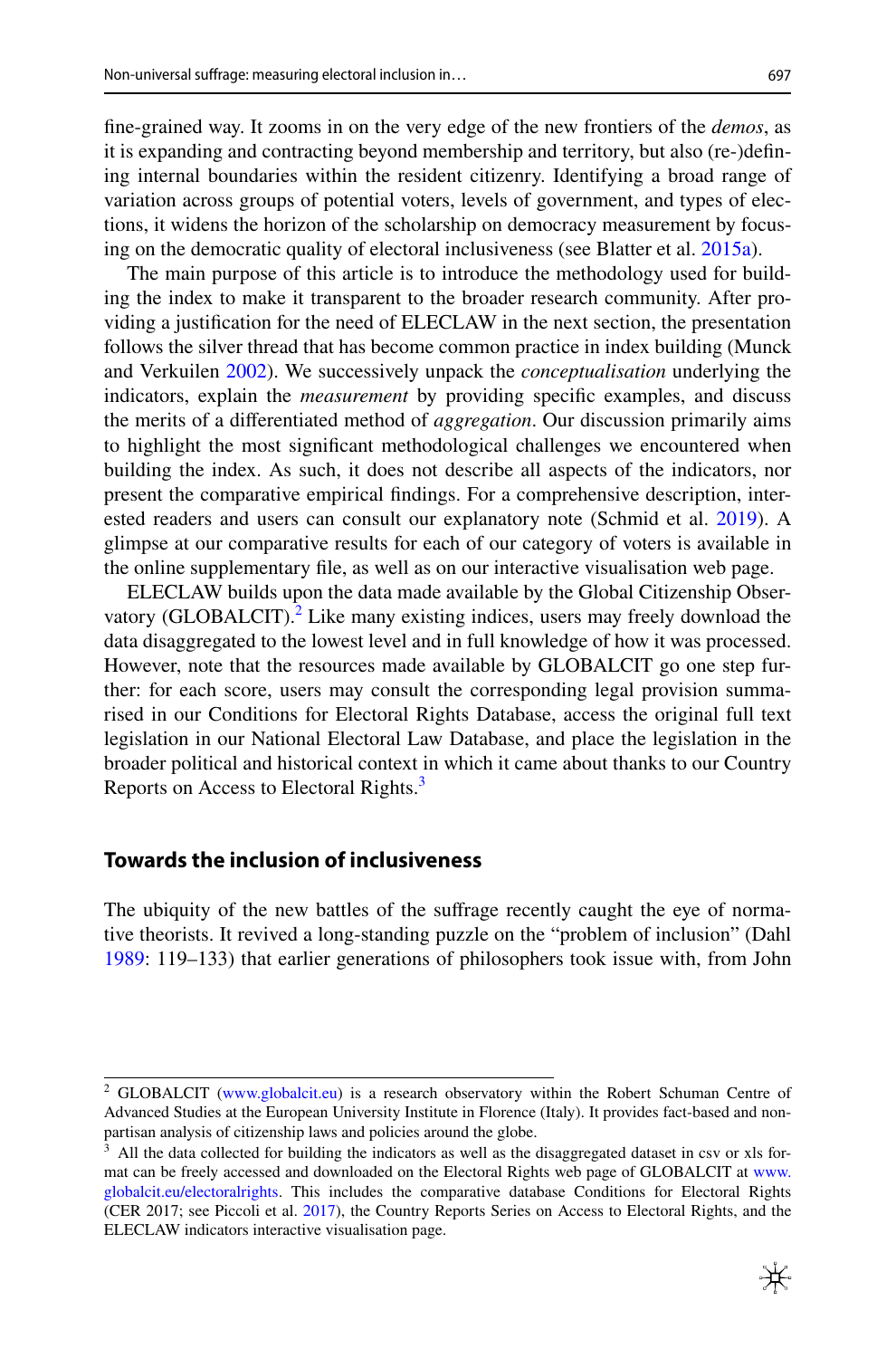fne-grained way. It zooms in on the very edge of the new frontiers of the *demos*, as it is expanding and contracting beyond membership and territory, but also (re-)defning internal boundaries within the resident citizenry. Identifying a broad range of variation across groups of potential voters, levels of government, and types of elections, it widens the horizon of the scholarship on democracy measurement by focusing on the democratic quality of electoral inclusiveness (see Blatter et al. [2015a\)](#page-16-1).

The main purpose of this article is to introduce the methodology used for building the index to make it transparent to the broader research community. After providing a justifcation for the need of ELECLAW in the next section, the presentation follows the silver thread that has become common practice in index building (Munck and Verkuilen [2002\)](#page-17-4). We successively unpack the *conceptualisation* underlying the indicators, explain the *measurement* by providing specifc examples, and discuss the merits of a diferentiated method of *aggregation*. Our discussion primarily aims to highlight the most signifcant methodological challenges we encountered when building the index. As such, it does not describe all aspects of the indicators, nor present the comparative empirical fndings. For a comprehensive description, interested readers and users can consult our explanatory note (Schmid et al. [2019\)](#page-17-5). A glimpse at our comparative results for each of our category of voters is available in the online supplementary fle, as well as on our interactive visualisation web page.

ELECLAW builds upon the data made available by the Global Citizenship Obser-vatory (GLOBALCIT).<sup>[2](#page-2-0)</sup> Like many existing indices, users may freely download the data disaggregated to the lowest level and in full knowledge of how it was processed. However, note that the resources made available by GLOBALCIT go one step further: for each score, users may consult the corresponding legal provision summarised in our Conditions for Electoral Rights Database, access the original full text legislation in our National Electoral Law Database, and place the legislation in the broader political and historical context in which it came about thanks to our Country Reports on Access to Electoral Rights.<sup>3</sup>

# **Towards the inclusion of inclusiveness**

The ubiquity of the new battles of the sufrage recently caught the eye of normative theorists. It revived a long-standing puzzle on the "problem of inclusion" (Dahl [1989](#page-17-6): 119–133) that earlier generations of philosophers took issue with, from John

<span id="page-2-0"></span><sup>&</sup>lt;sup>2</sup> GLOBALCIT [\(www.globalcit.eu\)](http://www.globalcit.eu) is a research observatory within the Robert Schuman Centre of Advanced Studies at the European University Institute in Florence (Italy). It provides fact-based and nonpartisan analysis of citizenship laws and policies around the globe.

<span id="page-2-1"></span><sup>&</sup>lt;sup>3</sup> All the data collected for building the indicators as well as the disaggregated dataset in csv or xls format can be freely accessed and downloaded on the Electoral Rights web page of GLOBALCIT at [www.](http://www.globalcit.eu/electoralrights) [globalcit.eu/electoralrights.](http://www.globalcit.eu/electoralrights) This includes the comparative database Conditions for Electoral Rights (CER 2017; see Piccoli et al. [2017\)](#page-17-7), the Country Reports Series on Access to Electoral Rights, and the ELECLAW indicators interactive visualisation page.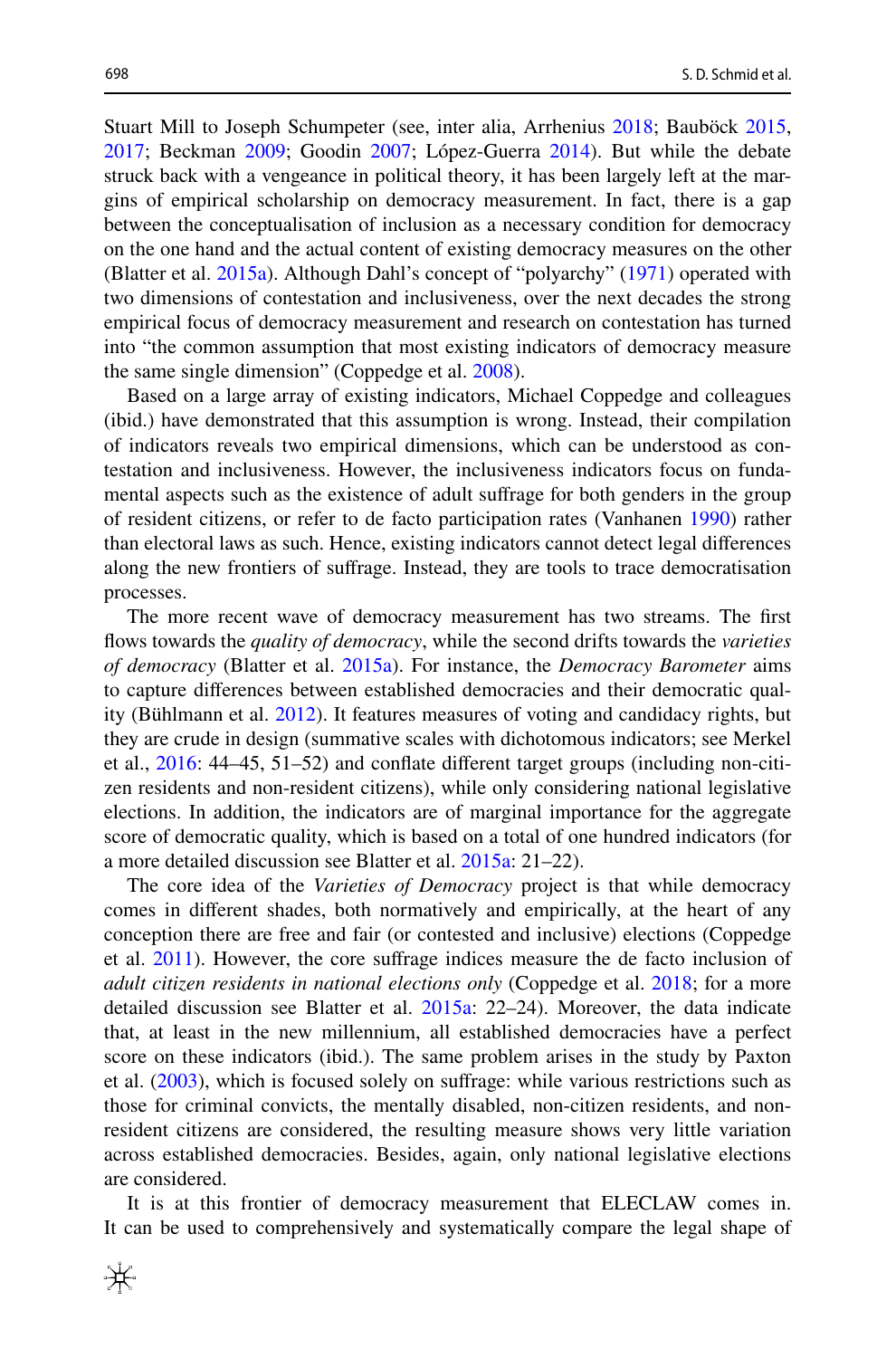Stuart Mill to Joseph Schumpeter (see, inter alia, Arrhenius [2018;](#page-16-2) Bauböck [2015,](#page-16-3) [2017](#page-16-4); Beckman [2009](#page-16-5); Goodin [2007;](#page-17-8) López-Guerra [2014\)](#page-17-9). But while the debate struck back with a vengeance in political theory, it has been largely left at the margins of empirical scholarship on democracy measurement. In fact, there is a gap between the conceptualisation of inclusion as a necessary condition for democracy on the one hand and the actual content of existing democracy measures on the other (Blatter et al. [2015a\)](#page-16-1). Although Dahl's concept of "polyarchy" [\(1971](#page-17-10)) operated with two dimensions of contestation and inclusiveness, over the next decades the strong empirical focus of democracy measurement and research on contestation has turned into "the common assumption that most existing indicators of democracy measure the same single dimension" (Coppedge et al. [2008\)](#page-17-11).

Based on a large array of existing indicators, Michael Coppedge and colleagues (ibid.) have demonstrated that this assumption is wrong. Instead, their compilation of indicators reveals two empirical dimensions, which can be understood as contestation and inclusiveness. However, the inclusiveness indicators focus on fundamental aspects such as the existence of adult sufrage for both genders in the group of resident citizens, or refer to de facto participation rates (Vanhanen [1990](#page-18-1)) rather than electoral laws as such. Hence, existing indicators cannot detect legal diferences along the new frontiers of sufrage. Instead, they are tools to trace democratisation processes.

The more recent wave of democracy measurement has two streams. The frst fows towards the *quality of democracy*, while the second drifts towards the *varieties of democracy* (Blatter et al. [2015a](#page-16-1)). For instance, the *Democracy Barometer* aims to capture diferences between established democracies and their democratic quality (Bühlmann et al. [2012](#page-17-12)). It features measures of voting and candidacy rights, but they are crude in design (summative scales with dichotomous indicators; see Merkel et al., [2016:](#page-17-13) 44–45, 51–52) and confate diferent target groups (including non-citizen residents and non-resident citizens), while only considering national legislative elections. In addition, the indicators are of marginal importance for the aggregate score of democratic quality, which is based on a total of one hundred indicators (for a more detailed discussion see Blatter et al. [2015a:](#page-16-1) 21–22).

The core idea of the *Varieties of Democracy* project is that while democracy comes in diferent shades, both normatively and empirically, at the heart of any conception there are free and fair (or contested and inclusive) elections (Coppedge et al. [2011](#page-17-14)). However, the core sufrage indices measure the de facto inclusion of *adult citizen residents in national elections only* (Coppedge et al. [2018;](#page-17-15) for a more detailed discussion see Blatter et al. [2015a](#page-16-1): 22–24). Moreover, the data indicate that, at least in the new millennium, all established democracies have a perfect score on these indicators (ibid.). The same problem arises in the study by Paxton et al. [\(2003](#page-17-16)), which is focused solely on sufrage: while various restrictions such as those for criminal convicts, the mentally disabled, non-citizen residents, and nonresident citizens are considered, the resulting measure shows very little variation across established democracies. Besides, again, only national legislative elections are considered.

It is at this frontier of democracy measurement that ELECLAW comes in. It can be used to comprehensively and systematically compare the legal shape of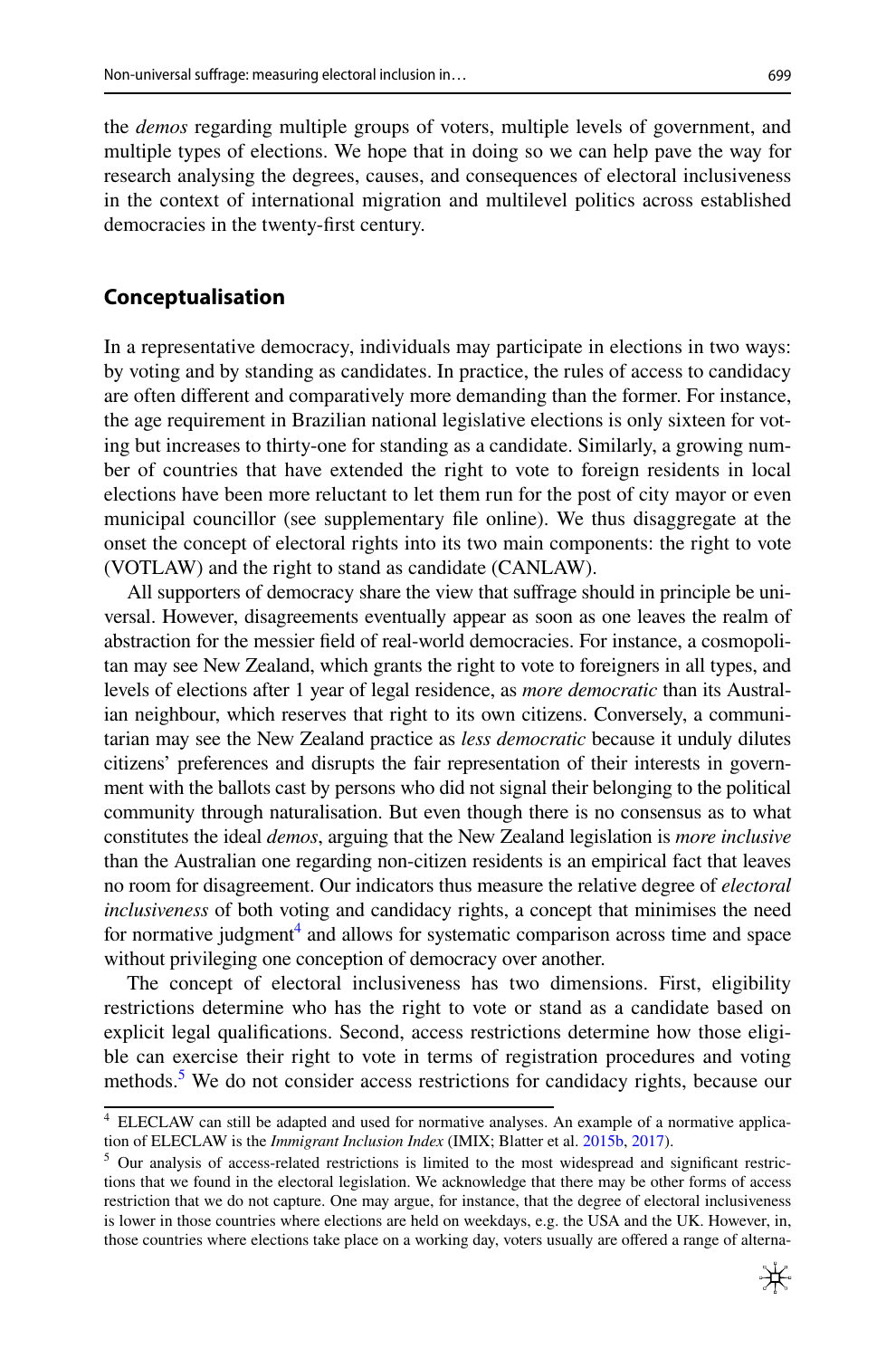the *demos* regarding multiple groups of voters, multiple levels of government, and multiple types of elections. We hope that in doing so we can help pave the way for research analysing the degrees, causes, and consequences of electoral inclusiveness in the context of international migration and multilevel politics across established democracies in the twenty-frst century.

### **Conceptualisation**

In a representative democracy, individuals may participate in elections in two ways: by voting and by standing as candidates. In practice, the rules of access to candidacy are often diferent and comparatively more demanding than the former. For instance, the age requirement in Brazilian national legislative elections is only sixteen for voting but increases to thirty-one for standing as a candidate. Similarly, a growing number of countries that have extended the right to vote to foreign residents in local elections have been more reluctant to let them run for the post of city mayor or even municipal councillor (see supplementary fle online). We thus disaggregate at the onset the concept of electoral rights into its two main components: the right to vote (VOTLAW) and the right to stand as candidate (CANLAW).

All supporters of democracy share the view that sufrage should in principle be universal. However, disagreements eventually appear as soon as one leaves the realm of abstraction for the messier feld of real-world democracies. For instance, a cosmopolitan may see New Zealand, which grants the right to vote to foreigners in all types, and levels of elections after 1 year of legal residence, as *more democratic* than its Australian neighbour, which reserves that right to its own citizens. Conversely, a communitarian may see the New Zealand practice as *less democratic* because it unduly dilutes citizens' preferences and disrupts the fair representation of their interests in government with the ballots cast by persons who did not signal their belonging to the political community through naturalisation. But even though there is no consensus as to what constitutes the ideal *demos*, arguing that the New Zealand legislation is *more inclusive* than the Australian one regarding non-citizen residents is an empirical fact that leaves no room for disagreement. Our indicators thus measure the relative degree of *electoral inclusiveness* of both voting and candidacy rights, a concept that minimises the need for normative judgment<sup>4</sup> and allows for systematic comparison across time and space without privileging one conception of democracy over another.

The concept of electoral inclusiveness has two dimensions. First, eligibility restrictions determine who has the right to vote or stand as a candidate based on explicit legal qualifcations. Second, access restrictions determine how those eligible can exercise their right to vote in terms of registration procedures and voting methods.<sup>5</sup> We do not consider access restrictions for candidacy rights, because our

<span id="page-4-0"></span><sup>4</sup> ELECLAW can still be adapted and used for normative analyses. An example of a normative application of ELECLAW is the *Immigrant Inclusion Index* (IMIX; Blatter et al. [2015b](#page-17-17), [2017](#page-17-18)).

<span id="page-4-1"></span><sup>5</sup> Our analysis of access-related restrictions is limited to the most widespread and signifcant restrictions that we found in the electoral legislation. We acknowledge that there may be other forms of access restriction that we do not capture. One may argue, for instance, that the degree of electoral inclusiveness is lower in those countries where elections are held on weekdays, e.g. the USA and the UK. However, in, those countries where elections take place on a working day, voters usually are ofered a range of alterna-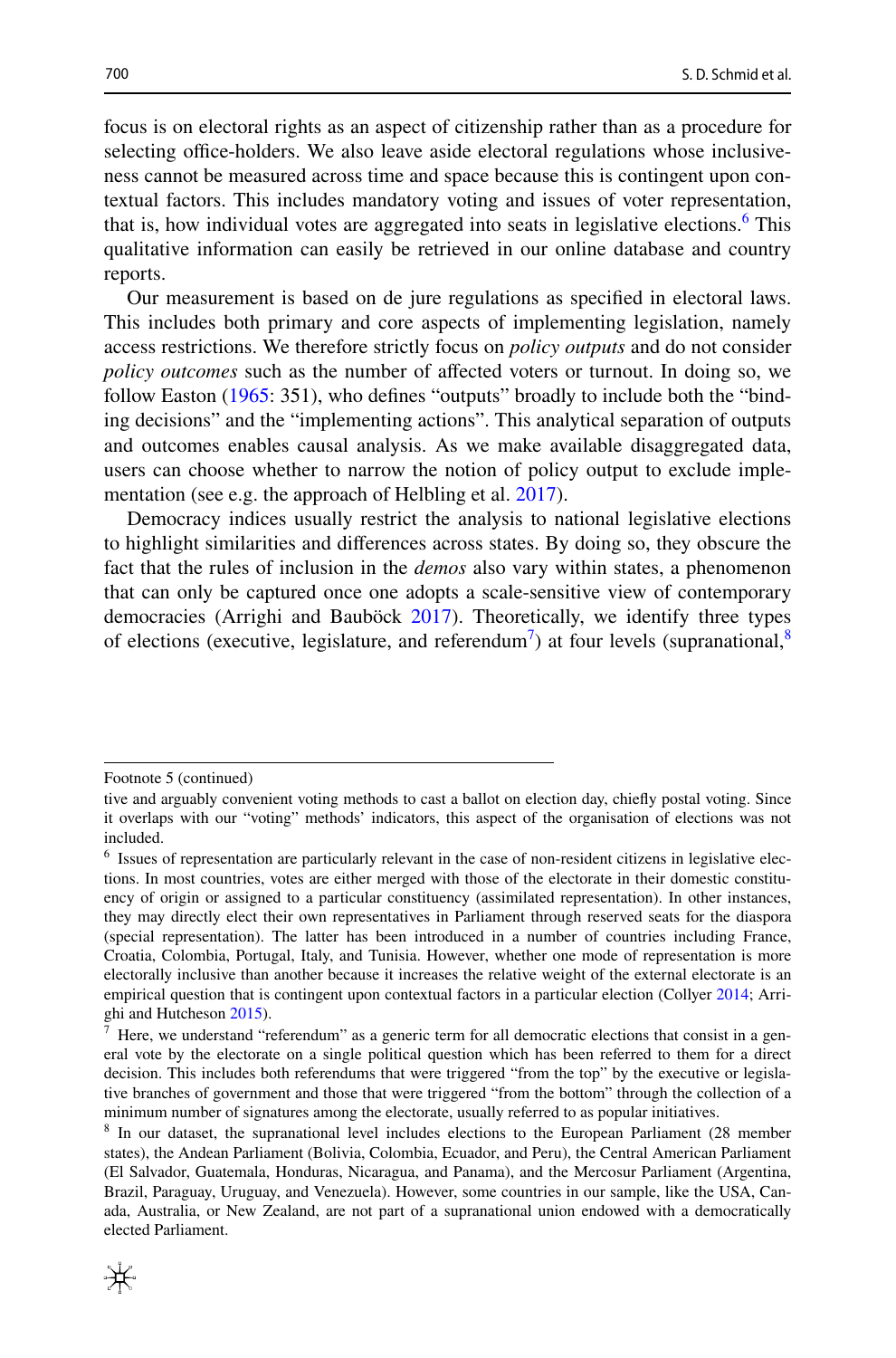focus is on electoral rights as an aspect of citizenship rather than as a procedure for selecting office-holders. We also leave aside electoral regulations whose inclusiveness cannot be measured across time and space because this is contingent upon contextual factors. This includes mandatory voting and issues of voter representation, that is, how individual votes are aggregated into seats in legislative elections.<sup>[6](#page-5-0)</sup> This qualitative information can easily be retrieved in our online database and country reports.

Our measurement is based on de jure regulations as specifed in electoral laws. This includes both primary and core aspects of implementing legislation, namely access restrictions. We therefore strictly focus on *policy outputs* and do not consider *policy outcomes* such as the number of afected voters or turnout. In doing so, we follow Easton [\(1965](#page-17-19): 351), who defnes "outputs" broadly to include both the "binding decisions" and the "implementing actions". This analytical separation of outputs and outcomes enables causal analysis. As we make available disaggregated data, users can choose whether to narrow the notion of policy output to exclude implementation (see e.g. the approach of Helbling et al. [2017](#page-17-20)).

Democracy indices usually restrict the analysis to national legislative elections to highlight similarities and diferences across states. By doing so, they obscure the fact that the rules of inclusion in the *demos* also vary within states, a phenomenon that can only be captured once one adopts a scale-sensitive view of contemporary democracies (Arrighi and Bauböck [2017\)](#page-16-0). Theoretically, we identify three types of elections (executive, legislature, and referendum<sup>[7](#page-5-1)</sup>) at four levels (supranational,<sup>[8](#page-5-2)</sup>)



Footnote 5 (continued)

tive and arguably convenient voting methods to cast a ballot on election day, chiefy postal voting. Since it overlaps with our "voting" methods' indicators, this aspect of the organisation of elections was not included.

<span id="page-5-0"></span><sup>&</sup>lt;sup>6</sup> Issues of representation are particularly relevant in the case of non-resident citizens in legislative elections. In most countries, votes are either merged with those of the electorate in their domestic constituency of origin or assigned to a particular constituency (assimilated representation). In other instances, they may directly elect their own representatives in Parliament through reserved seats for the diaspora (special representation). The latter has been introduced in a number of countries including France, Croatia, Colombia, Portugal, Italy, and Tunisia. However, whether one mode of representation is more electorally inclusive than another because it increases the relative weight of the external electorate is an empirical question that is contingent upon contextual factors in a particular election (Collyer [2014;](#page-17-21) Arrighi and Hutcheson [2015\)](#page-16-6).

<span id="page-5-1"></span> $7$  Here, we understand "referendum" as a generic term for all democratic elections that consist in a general vote by the electorate on a single political question which has been referred to them for a direct decision. This includes both referendums that were triggered "from the top" by the executive or legislative branches of government and those that were triggered "from the bottom" through the collection of a minimum number of signatures among the electorate, usually referred to as popular initiatives.

<span id="page-5-2"></span><sup>8</sup> In our dataset, the supranational level includes elections to the European Parliament (28 member states), the Andean Parliament (Bolivia, Colombia, Ecuador, and Peru), the Central American Parliament (El Salvador, Guatemala, Honduras, Nicaragua, and Panama), and the Mercosur Parliament (Argentina, Brazil, Paraguay, Uruguay, and Venezuela). However, some countries in our sample, like the USA, Canada, Australia, or New Zealand, are not part of a supranational union endowed with a democratically elected Parliament.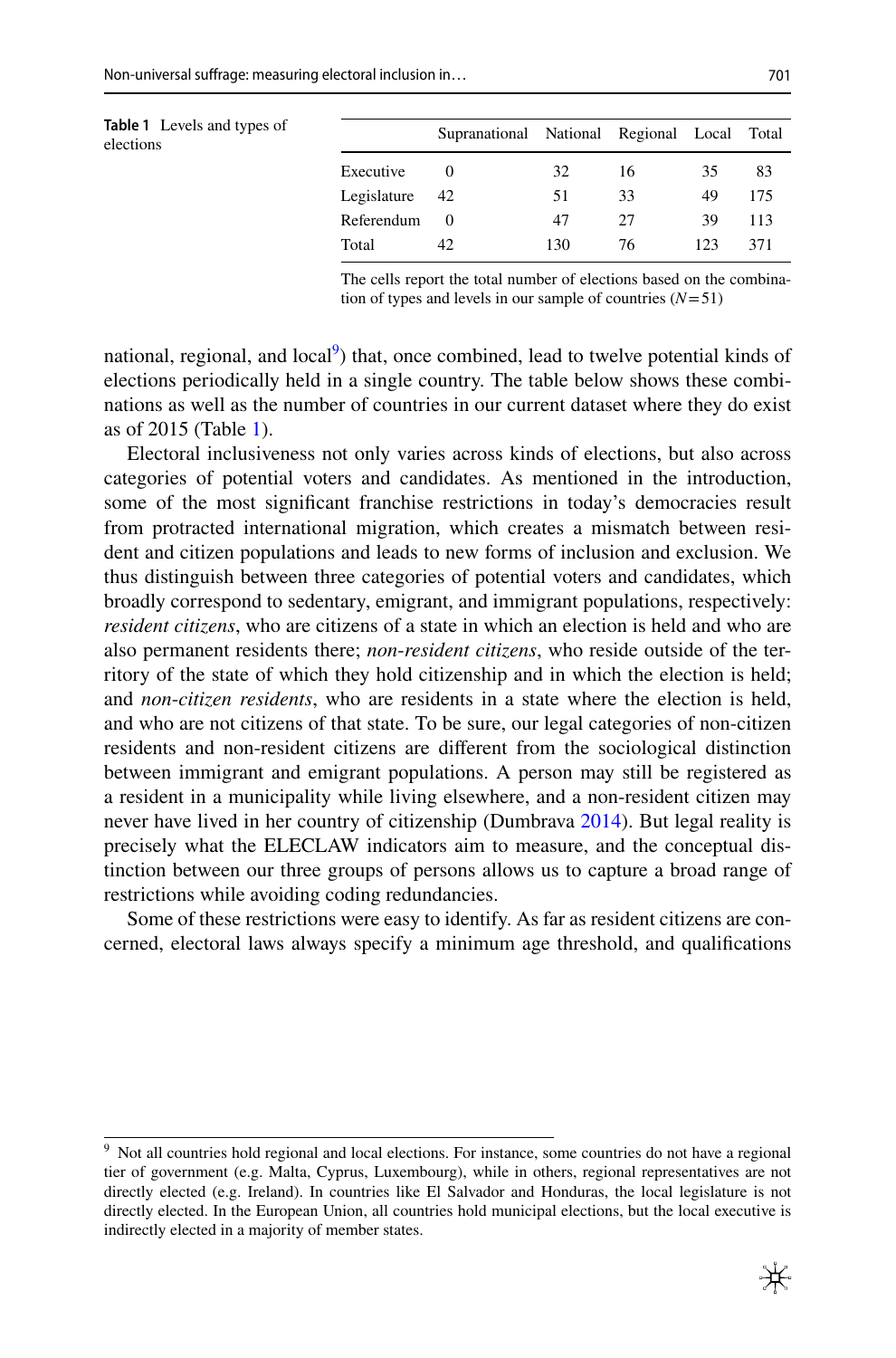<span id="page-6-1"></span>

| <b>Table 1</b> Levels and types of<br>elections |                | Supranational National Regional Local Total |     |    |     |     |
|-------------------------------------------------|----------------|---------------------------------------------|-----|----|-----|-----|
|                                                 | Executive      |                                             | 32  | 16 | 35  | 83  |
|                                                 | Legislature 42 |                                             | 51  | 33 | 49  | 175 |
|                                                 | Referendum     | $\theta$                                    | 47  | 27 | 39  | 113 |
|                                                 | Total          | 42                                          | 130 | 76 | 123 | 371 |

The cells report the total number of elections based on the combination of types and levels in our sample of countries  $(N=51)$ 

national, regional, and local<sup>9</sup>) that, once combined, lead to twelve potential kinds of elections periodically held in a single country. The table below shows these combinations as well as the number of countries in our current dataset where they do exist as of 2015 (Table [1](#page-6-1)).

Electoral inclusiveness not only varies across kinds of elections, but also across categories of potential voters and candidates. As mentioned in the introduction, some of the most signifcant franchise restrictions in today's democracies result from protracted international migration, which creates a mismatch between resident and citizen populations and leads to new forms of inclusion and exclusion. We thus distinguish between three categories of potential voters and candidates, which broadly correspond to sedentary, emigrant, and immigrant populations, respectively: *resident citizens*, who are citizens of a state in which an election is held and who are also permanent residents there; *non*-*resident citizens*, who reside outside of the territory of the state of which they hold citizenship and in which the election is held; and *non*-*citizen residents*, who are residents in a state where the election is held, and who are not citizens of that state. To be sure, our legal categories of non-citizen residents and non-resident citizens are diferent from the sociological distinction between immigrant and emigrant populations. A person may still be registered as a resident in a municipality while living elsewhere, and a non-resident citizen may never have lived in her country of citizenship (Dumbrava [2014\)](#page-17-22). But legal reality is precisely what the ELECLAW indicators aim to measure, and the conceptual distinction between our three groups of persons allows us to capture a broad range of restrictions while avoiding coding redundancies.

Some of these restrictions were easy to identify. As far as resident citizens are concerned, electoral laws always specify a minimum age threshold, and qualifcations

<span id="page-6-0"></span><sup>&</sup>lt;sup>9</sup> Not all countries hold regional and local elections. For instance, some countries do not have a regional tier of government (e.g. Malta, Cyprus, Luxembourg), while in others, regional representatives are not directly elected (e.g. Ireland). In countries like El Salvador and Honduras, the local legislature is not directly elected. In the European Union, all countries hold municipal elections, but the local executive is indirectly elected in a majority of member states.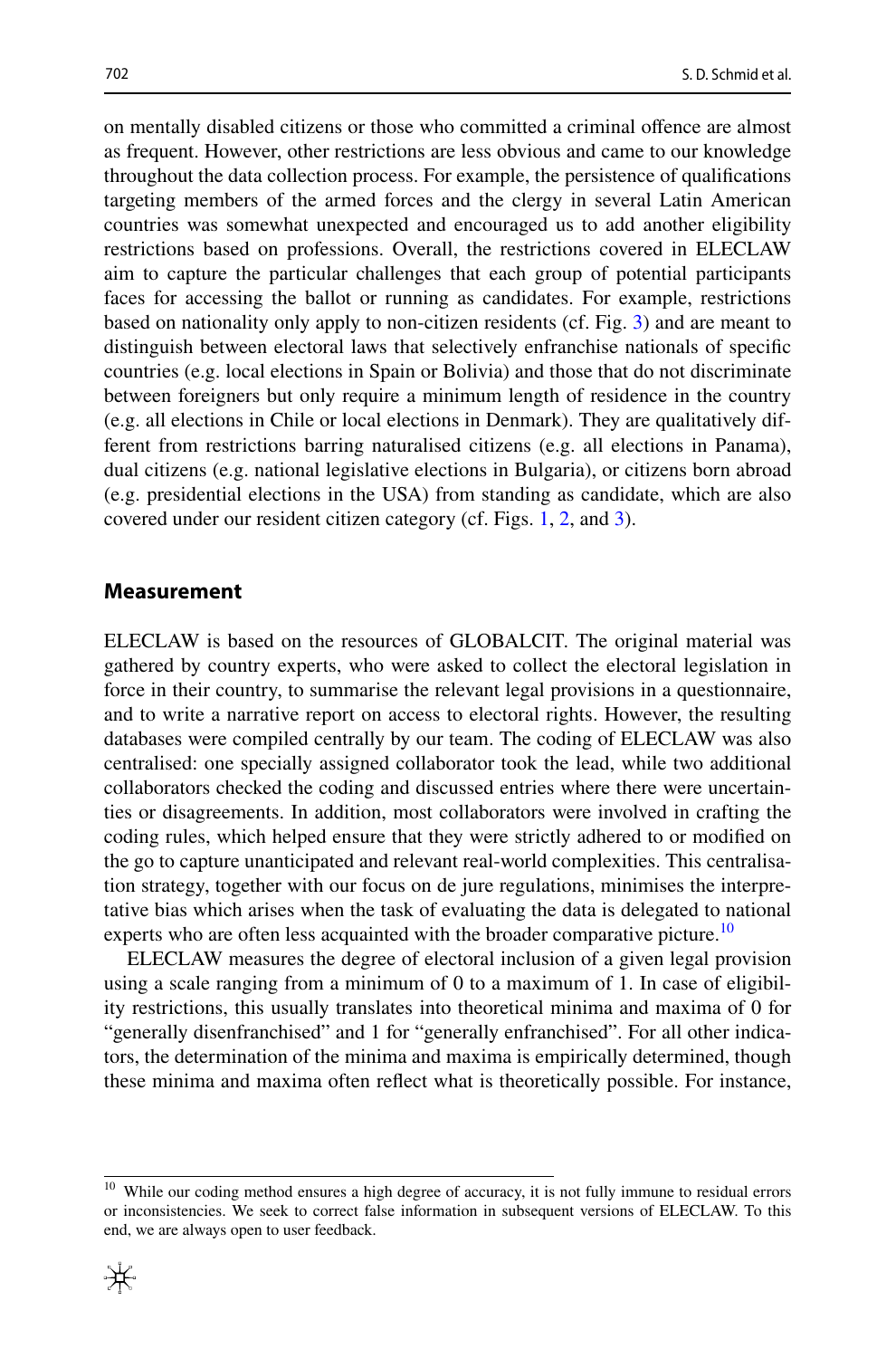on mentally disabled citizens or those who committed a criminal ofence are almost as frequent. However, other restrictions are less obvious and came to our knowledge throughout the data collection process. For example, the persistence of qualifcations targeting members of the armed forces and the clergy in several Latin American countries was somewhat unexpected and encouraged us to add another eligibility restrictions based on professions. Overall, the restrictions covered in ELECLAW aim to capture the particular challenges that each group of potential participants faces for accessing the ballot or running as candidates. For example, restrictions based on nationality only apply to non-citizen residents (cf. Fig. [3\)](#page-10-0) and are meant to distinguish between electoral laws that selectively enfranchise nationals of specifc countries (e.g. local elections in Spain or Bolivia) and those that do not discriminate between foreigners but only require a minimum length of residence in the country (e.g. all elections in Chile or local elections in Denmark). They are qualitatively different from restrictions barring naturalised citizens (e.g. all elections in Panama), dual citizens (e.g. national legislative elections in Bulgaria), or citizens born abroad (e.g. presidential elections in the USA) from standing as candidate, which are also covered under our resident citizen category (cf. Figs. [1,](#page-8-0) [2,](#page-9-0) and [3](#page-10-0)).

#### **Measurement**

ELECLAW is based on the resources of GLOBALCIT. The original material was gathered by country experts, who were asked to collect the electoral legislation in force in their country, to summarise the relevant legal provisions in a questionnaire, and to write a narrative report on access to electoral rights. However, the resulting databases were compiled centrally by our team. The coding of ELECLAW was also centralised: one specially assigned collaborator took the lead, while two additional collaborators checked the coding and discussed entries where there were uncertainties or disagreements. In addition, most collaborators were involved in crafting the coding rules, which helped ensure that they were strictly adhered to or modifed on the go to capture unanticipated and relevant real-world complexities. This centralisation strategy, together with our focus on de jure regulations, minimises the interpretative bias which arises when the task of evaluating the data is delegated to national experts who are often less acquainted with the broader comparative picture.<sup>[10](#page-7-0)</sup>

ELECLAW measures the degree of electoral inclusion of a given legal provision using a scale ranging from a minimum of 0 to a maximum of 1. In case of eligibility restrictions, this usually translates into theoretical minima and maxima of 0 for "generally disenfranchised" and 1 for "generally enfranchised". For all other indicators, the determination of the minima and maxima is empirically determined, though these minima and maxima often refect what is theoretically possible. For instance,

<span id="page-7-0"></span><sup>10</sup> While our coding method ensures a high degree of accuracy, it is not fully immune to residual errors or inconsistencies. We seek to correct false information in subsequent versions of ELECLAW. To this end, we are always open to user feedback.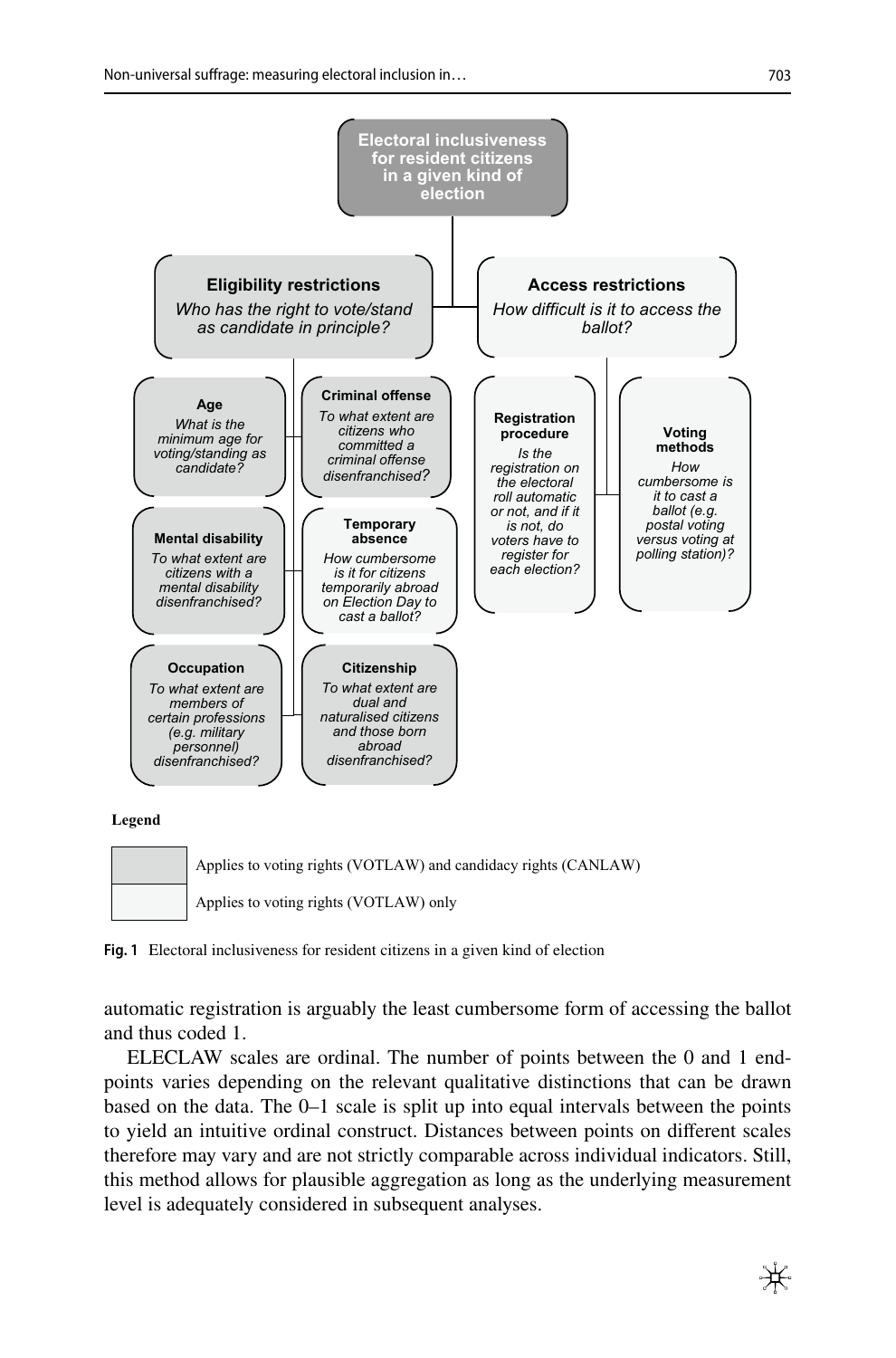

**Legend**



<span id="page-8-0"></span>**Fig. 1** Electoral inclusiveness for resident citizens in a given kind of election

automatic registration is arguably the least cumbersome form of accessing the ballot and thus coded 1.

ELECLAW scales are ordinal. The number of points between the 0 and 1 endpoints varies depending on the relevant qualitative distinctions that can be drawn based on the data. The 0–1 scale is split up into equal intervals between the points to yield an intuitive ordinal construct. Distances between points on diferent scales therefore may vary and are not strictly comparable across individual indicators. Still, this method allows for plausible aggregation as long as the underlying measurement level is adequately considered in subsequent analyses.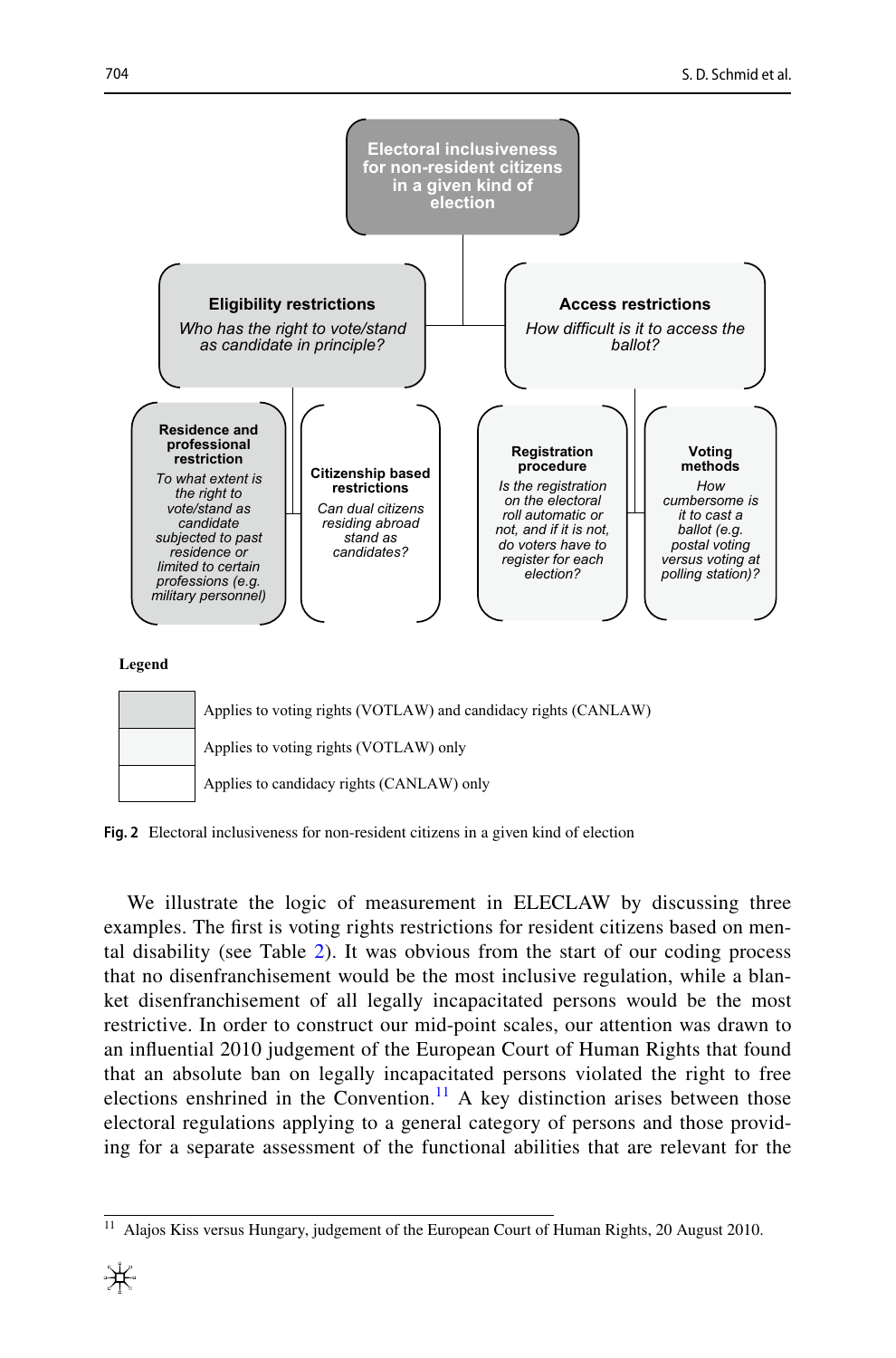

#### **Legend**



<span id="page-9-0"></span>**Fig. 2** Electoral inclusiveness for non-resident citizens in a given kind of election

We illustrate the logic of measurement in ELECLAW by discussing three examples. The frst is voting rights restrictions for resident citizens based on mental disability (see Table [2](#page-10-1)). It was obvious from the start of our coding process that no disenfranchisement would be the most inclusive regulation, while a blanket disenfranchisement of all legally incapacitated persons would be the most restrictive. In order to construct our mid-point scales, our attention was drawn to an infuential 2010 judgement of the European Court of Human Rights that found that an absolute ban on legally incapacitated persons violated the right to free elections enshrined in the Convention.<sup>11</sup> A key distinction arises between those electoral regulations applying to a general category of persons and those providing for a separate assessment of the functional abilities that are relevant for the



<span id="page-9-1"></span><sup>&</sup>lt;sup>11</sup> Alajos Kiss versus Hungary, judgement of the European Court of Human Rights, 20 August 2010.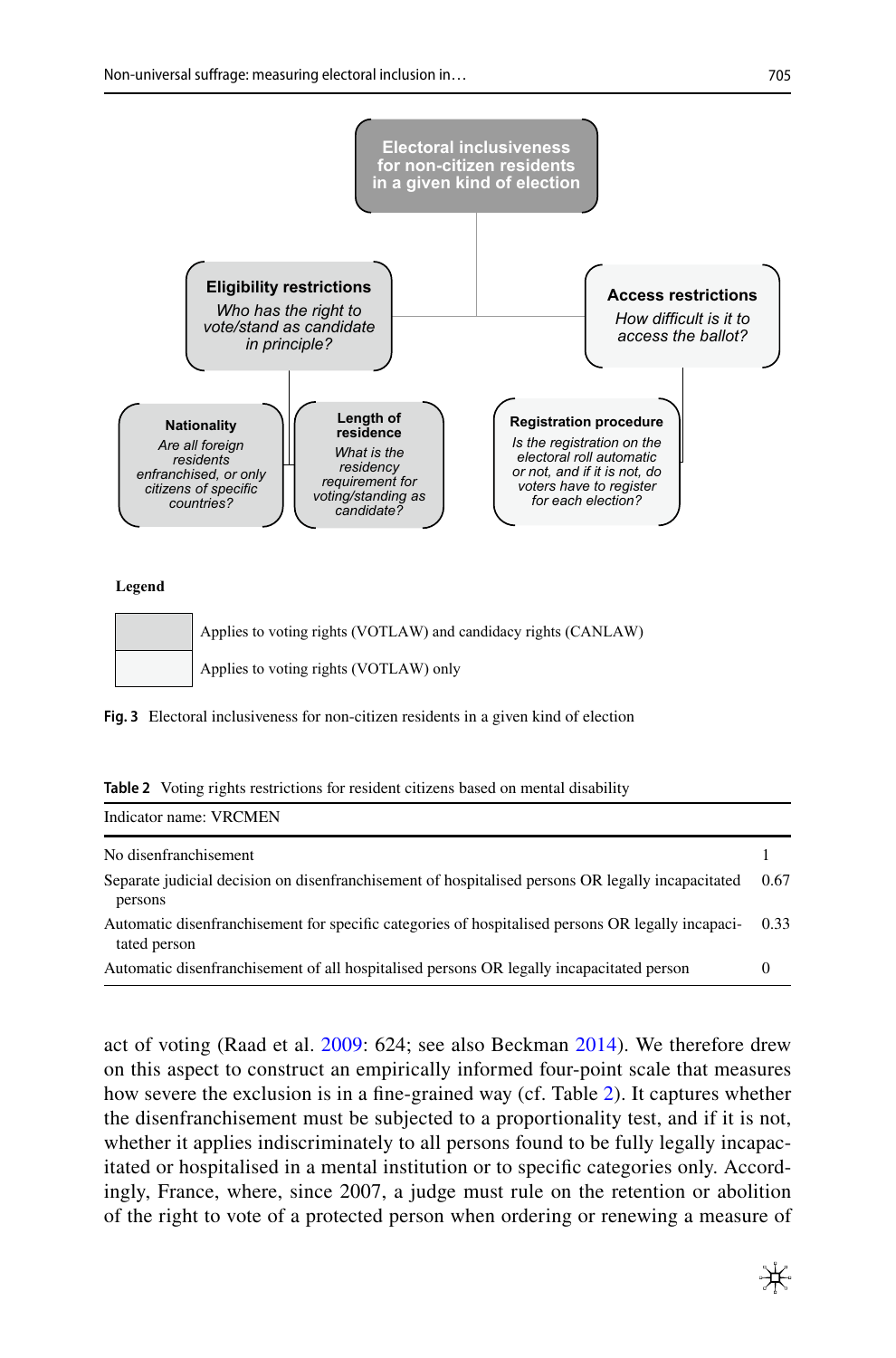

Applies to voting rights (VOTLAW) and candidacy rights (CANLAW) Applies to voting rights (VOTLAW) only

<span id="page-10-0"></span>**Fig. 3** Electoral inclusiveness for non-citizen residents in a given kind of election

<span id="page-10-1"></span>

| <b>Table 2</b> Voting rights restrictions for resident citizens based on mental disability |  |
|--------------------------------------------------------------------------------------------|--|
| Indicator name: VRCMEN                                                                     |  |
|                                                                                            |  |

| No disenfranchisement                                                                                             |          |
|-------------------------------------------------------------------------------------------------------------------|----------|
| Separate judicial decision on disenfranchisement of hospitalised persons OR legally incapacitated<br>persons      | 0.67     |
| Automatic disenfranchisement for specific categories of hospitalised persons OR legally incapaci-<br>tated person | 0.33     |
| Automatic disenfranchisement of all hospitalised persons OR legally incapacitated person                          | $\theta$ |

act of voting (Raad et al. [2009](#page-17-23): 624; see also Beckman [2014\)](#page-16-7). We therefore drew on this aspect to construct an empirically informed four-point scale that measures how severe the exclusion is in a fne-grained way (cf. Table [2](#page-10-1)). It captures whether the disenfranchisement must be subjected to a proportionality test, and if it is not, whether it applies indiscriminately to all persons found to be fully legally incapacitated or hospitalised in a mental institution or to specifc categories only. Accordingly, France, where, since 2007, a judge must rule on the retention or abolition of the right to vote of a protected person when ordering or renewing a measure of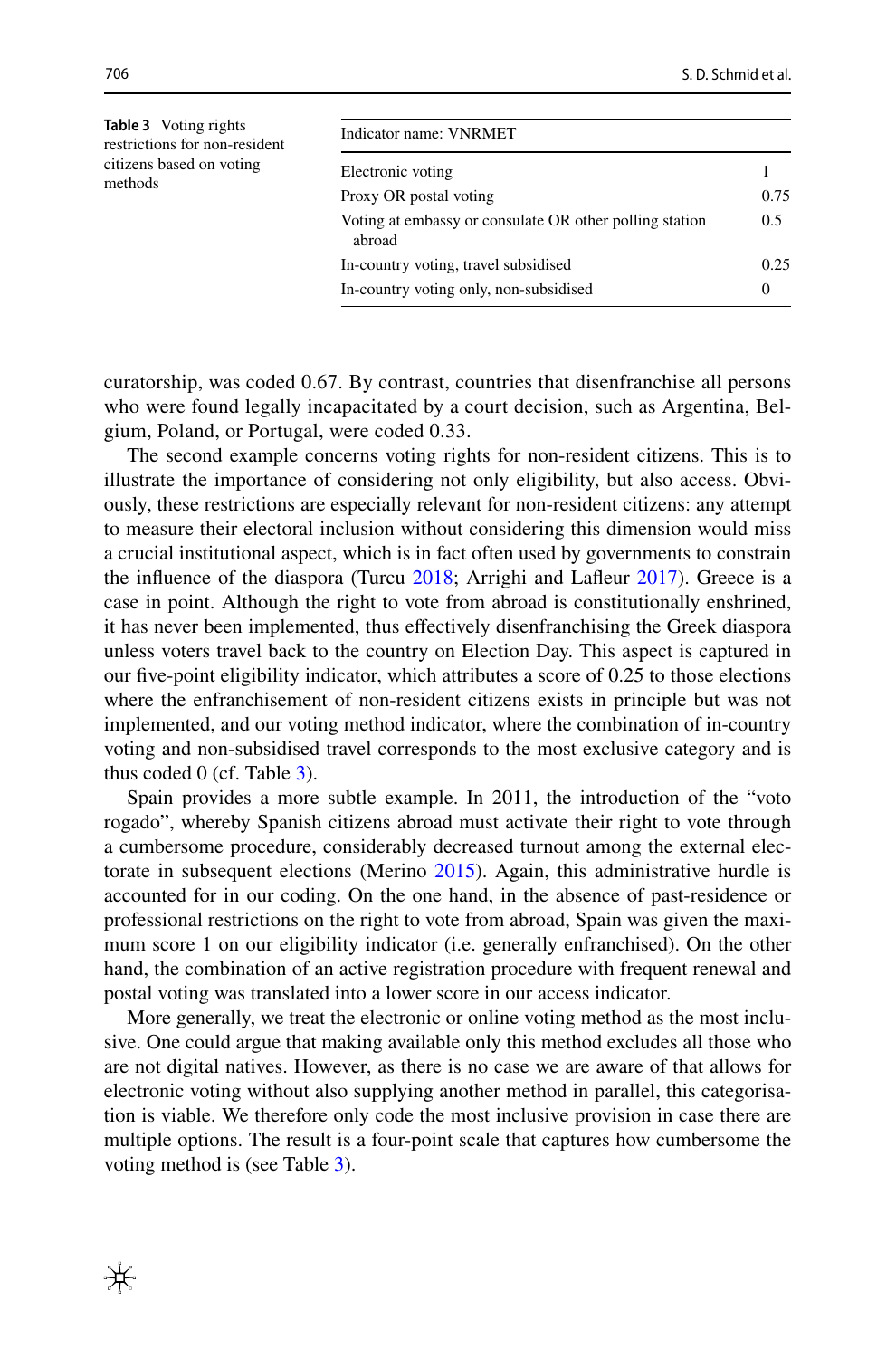<span id="page-11-0"></span>

| <b>Table 3</b> Voting rights<br>restrictions for non-resident<br>citizens based on voting<br>methods | Indicator name: VNRMET                                            |                       |  |  |
|------------------------------------------------------------------------------------------------------|-------------------------------------------------------------------|-----------------------|--|--|
|                                                                                                      | Electronic voting<br>Proxy OR postal voting                       |                       |  |  |
|                                                                                                      | Voting at embassy or consulate OR other polling station<br>abroad | 0.75<br>$0.5^{\circ}$ |  |  |
|                                                                                                      | In-country voting, travel subsidised                              | 0.25                  |  |  |
|                                                                                                      | In-country voting only, non-subsidised                            | $\Omega$              |  |  |
|                                                                                                      |                                                                   |                       |  |  |

curatorship, was coded 0.67. By contrast, countries that disenfranchise all persons who were found legally incapacitated by a court decision, such as Argentina, Belgium, Poland, or Portugal, were coded 0.33.

The second example concerns voting rights for non-resident citizens. This is to illustrate the importance of considering not only eligibility, but also access. Obviously, these restrictions are especially relevant for non-resident citizens: any attempt to measure their electoral inclusion without considering this dimension would miss a crucial institutional aspect, which is in fact often used by governments to constrain the infuence of the diaspora (Turcu [2018](#page-18-2); Arrighi and Lafeur [2017\)](#page-16-8). Greece is a case in point. Although the right to vote from abroad is constitutionally enshrined, it has never been implemented, thus efectively disenfranchising the Greek diaspora unless voters travel back to the country on Election Day. This aspect is captured in our fve-point eligibility indicator, which attributes a score of 0.25 to those elections where the enfranchisement of non-resident citizens exists in principle but was not implemented, and our voting method indicator, where the combination of in-country voting and non-subsidised travel corresponds to the most exclusive category and is thus coded  $0$  (cf. Table  $3$ ).

Spain provides a more subtle example. In 2011, the introduction of the "voto rogado", whereby Spanish citizens abroad must activate their right to vote through a cumbersome procedure, considerably decreased turnout among the external electorate in subsequent elections (Merino [2015](#page-17-24)). Again, this administrative hurdle is accounted for in our coding. On the one hand, in the absence of past-residence or professional restrictions on the right to vote from abroad, Spain was given the maximum score 1 on our eligibility indicator (i.e. generally enfranchised). On the other hand, the combination of an active registration procedure with frequent renewal and postal voting was translated into a lower score in our access indicator.

More generally, we treat the electronic or online voting method as the most inclusive. One could argue that making available only this method excludes all those who are not digital natives. However, as there is no case we are aware of that allows for electronic voting without also supplying another method in parallel, this categorisation is viable. We therefore only code the most inclusive provision in case there are multiple options. The result is a four-point scale that captures how cumbersome the voting method is (see Table [3\)](#page-11-0).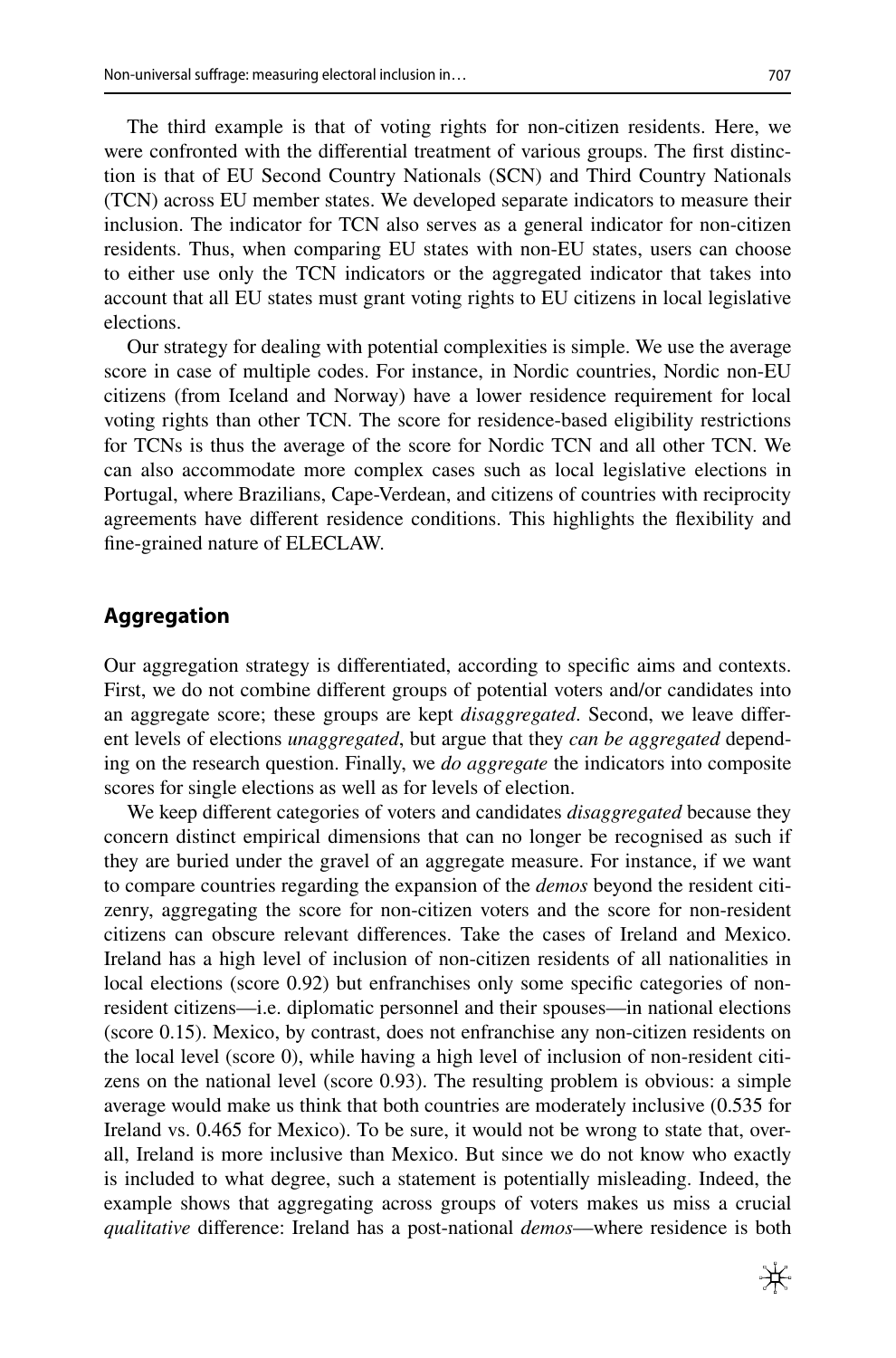The third example is that of voting rights for non-citizen residents. Here, we were confronted with the diferential treatment of various groups. The frst distinction is that of EU Second Country Nationals (SCN) and Third Country Nationals (TCN) across EU member states. We developed separate indicators to measure their inclusion. The indicator for TCN also serves as a general indicator for non-citizen residents. Thus, when comparing EU states with non-EU states, users can choose to either use only the TCN indicators or the aggregated indicator that takes into account that all EU states must grant voting rights to EU citizens in local legislative elections.

Our strategy for dealing with potential complexities is simple. We use the average score in case of multiple codes. For instance, in Nordic countries, Nordic non-EU citizens (from Iceland and Norway) have a lower residence requirement for local voting rights than other TCN. The score for residence-based eligibility restrictions for TCNs is thus the average of the score for Nordic TCN and all other TCN. We can also accommodate more complex cases such as local legislative elections in Portugal, where Brazilians, Cape-Verdean, and citizens of countries with reciprocity agreements have diferent residence conditions. This highlights the fexibility and fne-grained nature of ELECLAW.

## **Aggregation**

Our aggregation strategy is diferentiated, according to specifc aims and contexts. First, we do not combine diferent groups of potential voters and/or candidates into an aggregate score; these groups are kept *disaggregated*. Second, we leave diferent levels of elections *unaggregated*, but argue that they *can be aggregated* depending on the research question. Finally, we *do aggregate* the indicators into composite scores for single elections as well as for levels of election.

We keep diferent categories of voters and candidates *disaggregated* because they concern distinct empirical dimensions that can no longer be recognised as such if they are buried under the gravel of an aggregate measure. For instance, if we want to compare countries regarding the expansion of the *demos* beyond the resident citizenry, aggregating the score for non-citizen voters and the score for non-resident citizens can obscure relevant diferences. Take the cases of Ireland and Mexico. Ireland has a high level of inclusion of non-citizen residents of all nationalities in local elections (score 0.92) but enfranchises only some specific categories of nonresident citizens—i.e. diplomatic personnel and their spouses—in national elections (score 0.15). Mexico, by contrast, does not enfranchise any non-citizen residents on the local level (score 0), while having a high level of inclusion of non-resident citizens on the national level (score 0.93). The resulting problem is obvious: a simple average would make us think that both countries are moderately inclusive (0.535 for Ireland vs. 0.465 for Mexico). To be sure, it would not be wrong to state that, overall, Ireland is more inclusive than Mexico. But since we do not know who exactly is included to what degree, such a statement is potentially misleading. Indeed, the example shows that aggregating across groups of voters makes us miss a crucial *qualitative* diference: Ireland has a post-national *demos*—where residence is both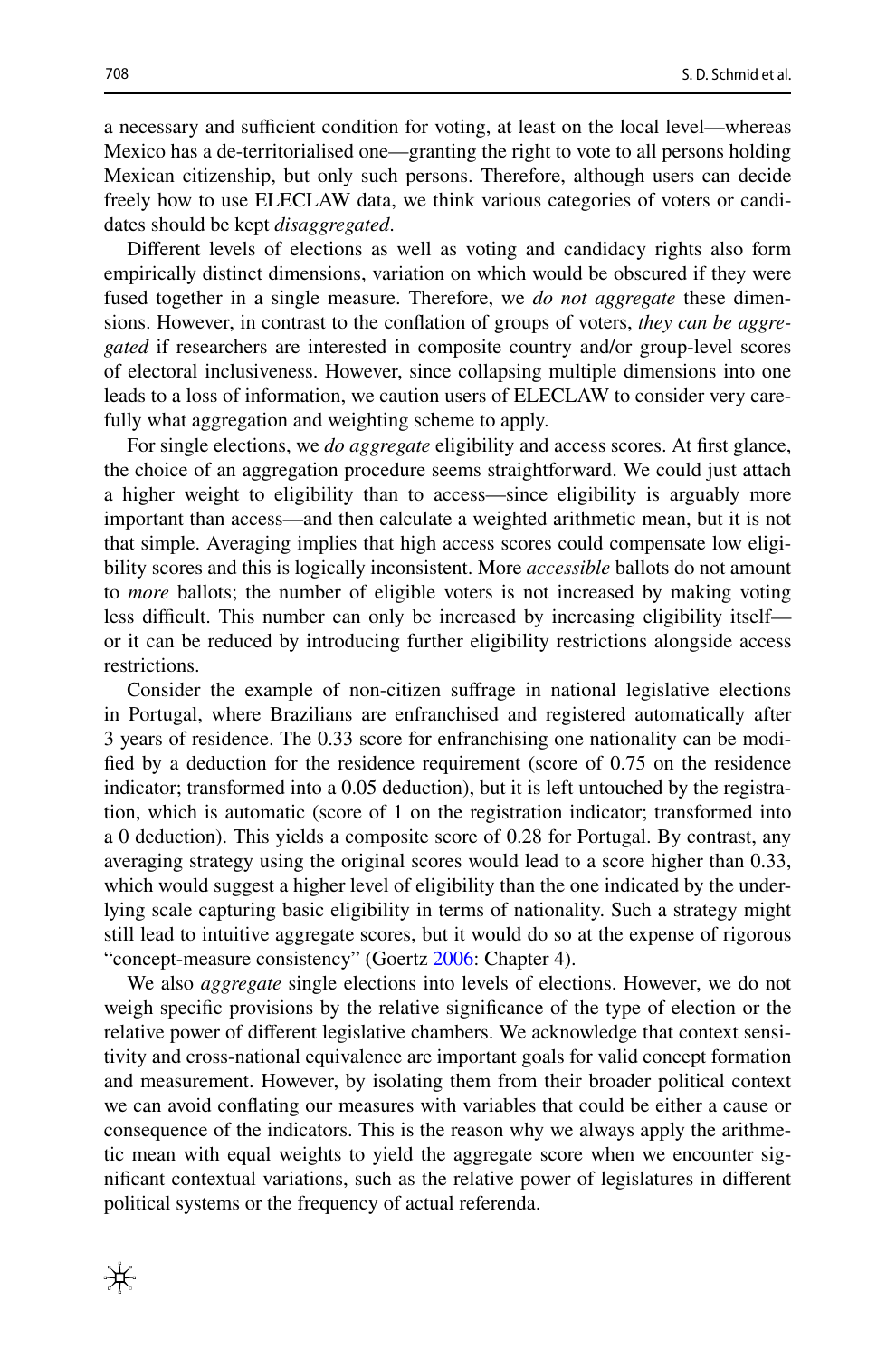a necessary and sufficient condition for voting, at least on the local level—whereas Mexico has a de-territorialised one—granting the right to vote to all persons holding Mexican citizenship, but only such persons. Therefore, although users can decide freely how to use ELECLAW data, we think various categories of voters or candidates should be kept *disaggregated*.

Diferent levels of elections as well as voting and candidacy rights also form empirically distinct dimensions, variation on which would be obscured if they were fused together in a single measure. Therefore, we *do not aggregate* these dimensions. However, in contrast to the confation of groups of voters, *they can be aggregated* if researchers are interested in composite country and/or group-level scores of electoral inclusiveness. However, since collapsing multiple dimensions into one leads to a loss of information, we caution users of ELECLAW to consider very carefully what aggregation and weighting scheme to apply.

For single elections, we *do aggregate* eligibility and access scores. At frst glance, the choice of an aggregation procedure seems straightforward. We could just attach a higher weight to eligibility than to access—since eligibility is arguably more important than access—and then calculate a weighted arithmetic mean, but it is not that simple. Averaging implies that high access scores could compensate low eligibility scores and this is logically inconsistent. More *accessible* ballots do not amount to *more* ballots; the number of eligible voters is not increased by making voting less difficult. This number can only be increased by increasing eligibility itself or it can be reduced by introducing further eligibility restrictions alongside access restrictions.

Consider the example of non-citizen sufrage in national legislative elections in Portugal, where Brazilians are enfranchised and registered automatically after 3 years of residence. The 0.33 score for enfranchising one nationality can be modifed by a deduction for the residence requirement (score of 0.75 on the residence indicator; transformed into a 0.05 deduction), but it is left untouched by the registration, which is automatic (score of 1 on the registration indicator; transformed into a 0 deduction). This yields a composite score of 0.28 for Portugal. By contrast, any averaging strategy using the original scores would lead to a score higher than 0.33, which would suggest a higher level of eligibility than the one indicated by the underlying scale capturing basic eligibility in terms of nationality. Such a strategy might still lead to intuitive aggregate scores, but it would do so at the expense of rigorous "concept-measure consistency" (Goertz [2006](#page-17-25): Chapter 4).

We also *aggregate* single elections into levels of elections. However, we do not weigh specifc provisions by the relative signifcance of the type of election or the relative power of diferent legislative chambers. We acknowledge that context sensitivity and cross-national equivalence are important goals for valid concept formation and measurement. However, by isolating them from their broader political context we can avoid confating our measures with variables that could be either a cause or consequence of the indicators. This is the reason why we always apply the arithmetic mean with equal weights to yield the aggregate score when we encounter signifcant contextual variations, such as the relative power of legislatures in diferent political systems or the frequency of actual referenda.

₩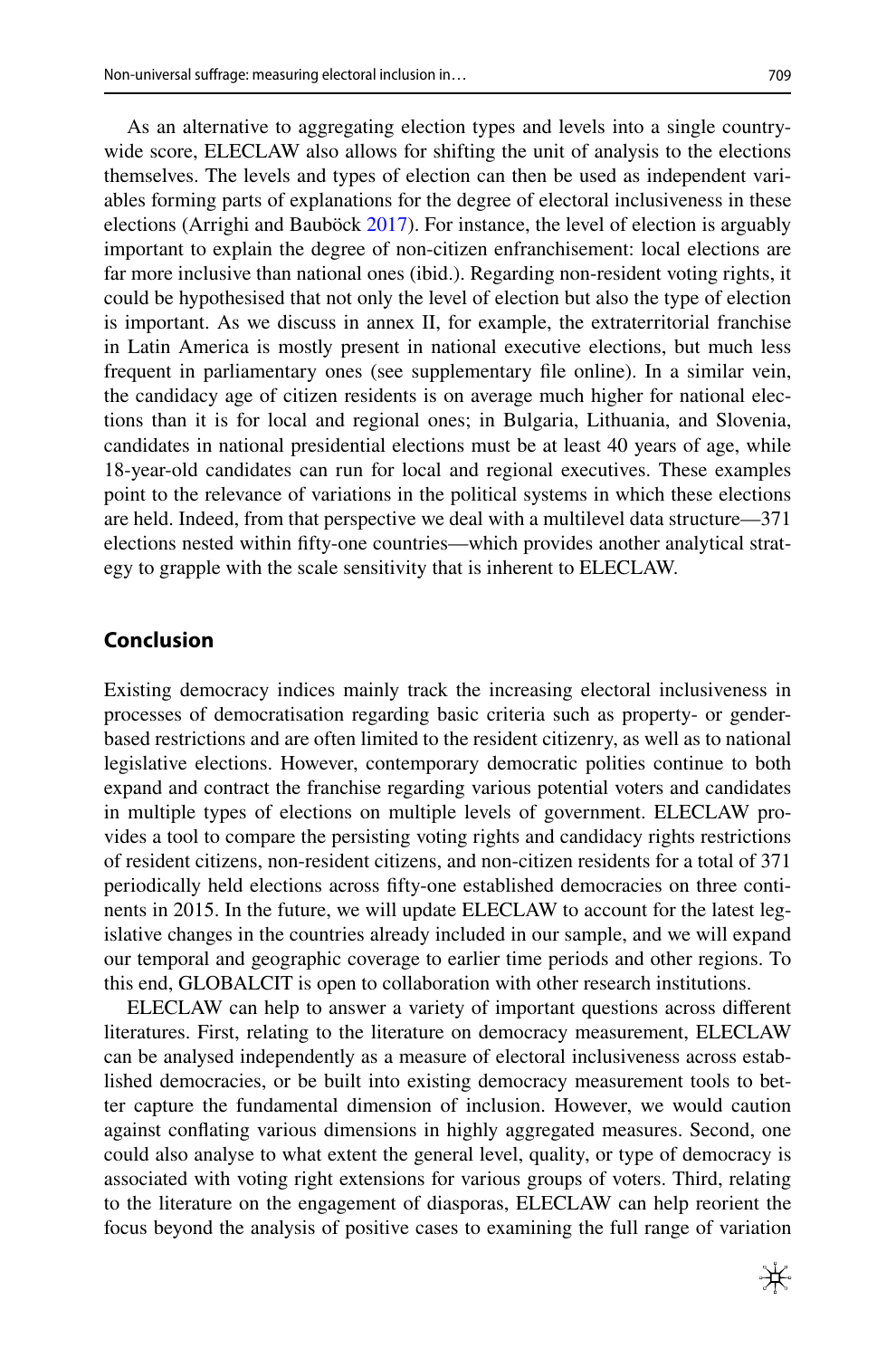As an alternative to aggregating election types and levels into a single countrywide score, ELECLAW also allows for shifting the unit of analysis to the elections themselves. The levels and types of election can then be used as independent variables forming parts of explanations for the degree of electoral inclusiveness in these elections (Arrighi and Bauböck [2017\)](#page-16-0). For instance, the level of election is arguably important to explain the degree of non-citizen enfranchisement: local elections are far more inclusive than national ones (ibid.). Regarding non-resident voting rights, it could be hypothesised that not only the level of election but also the type of election is important. As we discuss in annex II, for example, the extraterritorial franchise in Latin America is mostly present in national executive elections, but much less frequent in parliamentary ones (see supplementary fle online). In a similar vein, the candidacy age of citizen residents is on average much higher for national elections than it is for local and regional ones; in Bulgaria, Lithuania, and Slovenia, candidates in national presidential elections must be at least 40 years of age, while 18-year-old candidates can run for local and regional executives. These examples point to the relevance of variations in the political systems in which these elections are held. Indeed, from that perspective we deal with a multilevel data structure—371 elections nested within ffty-one countries—which provides another analytical strategy to grapple with the scale sensitivity that is inherent to ELECLAW.

### **Conclusion**

Existing democracy indices mainly track the increasing electoral inclusiveness in processes of democratisation regarding basic criteria such as property- or genderbased restrictions and are often limited to the resident citizenry, as well as to national legislative elections. However, contemporary democratic polities continue to both expand and contract the franchise regarding various potential voters and candidates in multiple types of elections on multiple levels of government. ELECLAW provides a tool to compare the persisting voting rights and candidacy rights restrictions of resident citizens, non-resident citizens, and non-citizen residents for a total of 371 periodically held elections across ffty-one established democracies on three continents in 2015. In the future, we will update ELECLAW to account for the latest legislative changes in the countries already included in our sample, and we will expand our temporal and geographic coverage to earlier time periods and other regions. To this end, GLOBALCIT is open to collaboration with other research institutions.

ELECLAW can help to answer a variety of important questions across diferent literatures. First, relating to the literature on democracy measurement, ELECLAW can be analysed independently as a measure of electoral inclusiveness across established democracies, or be built into existing democracy measurement tools to better capture the fundamental dimension of inclusion. However, we would caution against confating various dimensions in highly aggregated measures. Second, one could also analyse to what extent the general level, quality, or type of democracy is associated with voting right extensions for various groups of voters. Third, relating to the literature on the engagement of diasporas, ELECLAW can help reorient the focus beyond the analysis of positive cases to examining the full range of variation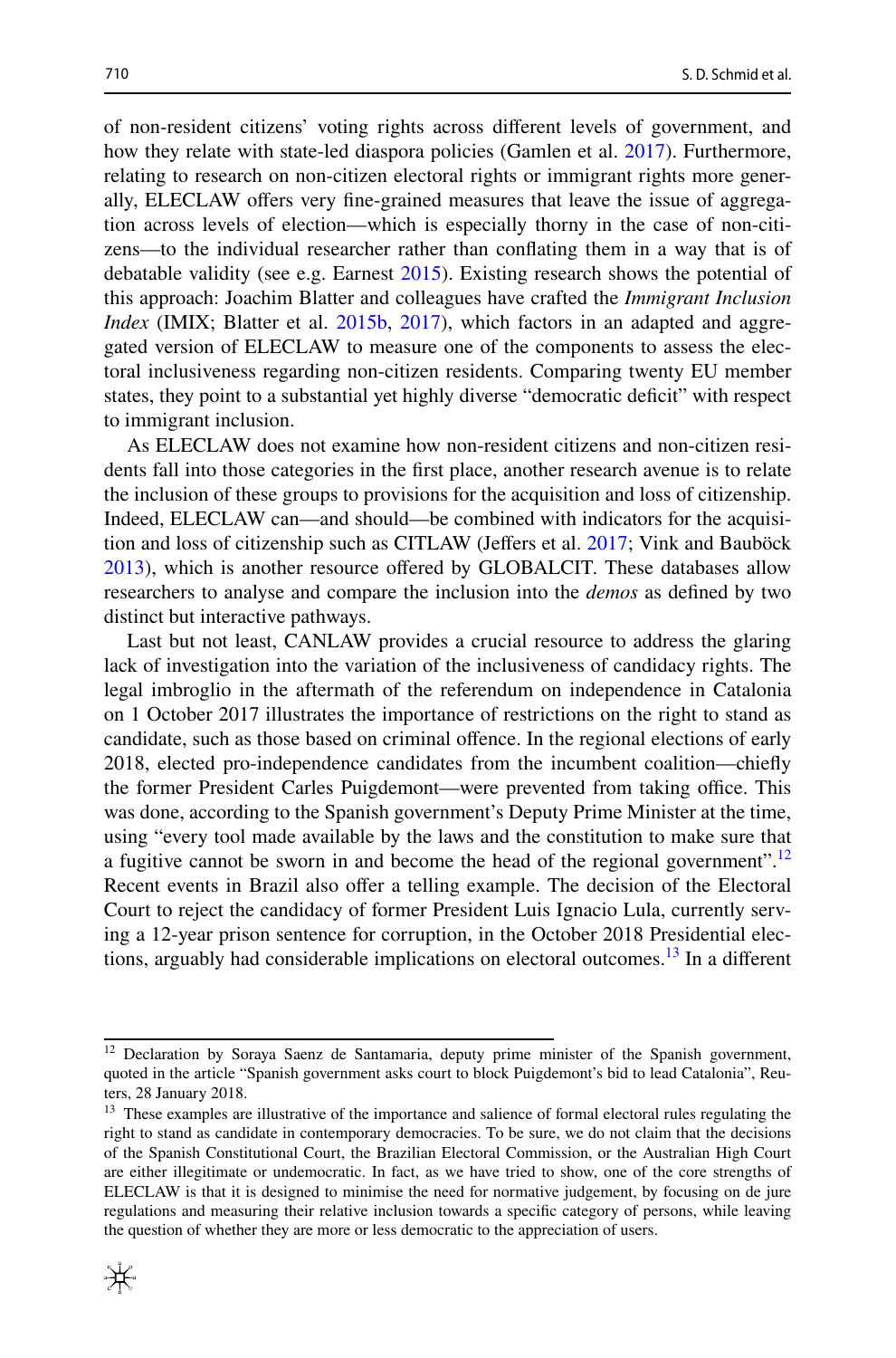of non-resident citizens' voting rights across diferent levels of government, and how they relate with state-led diaspora policies (Gamlen et al. [2017](#page-17-26)). Furthermore, relating to research on non-citizen electoral rights or immigrant rights more generally, ELECLAW ofers very fne-grained measures that leave the issue of aggregation across levels of election—which is especially thorny in the case of non-citizens—to the individual researcher rather than confating them in a way that is of debatable validity (see e.g. Earnest [2015\)](#page-17-1). Existing research shows the potential of this approach: Joachim Blatter and colleagues have crafted the *Immigrant Inclusion Index* (IMIX; Blatter et al. [2015b](#page-17-17), [2017](#page-17-18)), which factors in an adapted and aggregated version of ELECLAW to measure one of the components to assess the electoral inclusiveness regarding non-citizen residents. Comparing twenty EU member states, they point to a substantial yet highly diverse "democratic defcit" with respect to immigrant inclusion.

As ELECLAW does not examine how non-resident citizens and non-citizen residents fall into those categories in the frst place, another research avenue is to relate the inclusion of these groups to provisions for the acquisition and loss of citizenship. Indeed, ELECLAW can—and should—be combined with indicators for the acquisition and loss of citizenship such as CITLAW (Jefers et al. [2017;](#page-17-27) Vink and Bauböck [2013](#page-18-3)), which is another resource ofered by GLOBALCIT. These databases allow researchers to analyse and compare the inclusion into the *demos* as defned by two distinct but interactive pathways.

Last but not least, CANLAW provides a crucial resource to address the glaring lack of investigation into the variation of the inclusiveness of candidacy rights. The legal imbroglio in the aftermath of the referendum on independence in Catalonia on 1 October 2017 illustrates the importance of restrictions on the right to stand as candidate, such as those based on criminal ofence. In the regional elections of early 2018, elected pro-independence candidates from the incumbent coalition—chiefy the former President Carles Puigdemont—were prevented from taking office. This was done, according to the Spanish government's Deputy Prime Minister at the time, using "every tool made available by the laws and the constitution to make sure that a fugitive cannot be sworn in and become the head of the regional government".<sup>[12](#page-15-0)</sup> Recent events in Brazil also offer a telling example. The decision of the Electoral Court to reject the candidacy of former President Luis Ignacio Lula, currently serving a 12-year prison sentence for corruption, in the October 2018 Presidential elections, arguably had considerable implications on electoral outcomes.<sup>13</sup> In a different

<span id="page-15-0"></span><sup>&</sup>lt;sup>12</sup> Declaration by Soraya Saenz de Santamaria, deputy prime minister of the Spanish government, quoted in the article "Spanish government asks court to block Puigdemont's bid to lead Catalonia", Reuters, 28 January 2018.

<span id="page-15-1"></span><sup>&</sup>lt;sup>13</sup> These examples are illustrative of the importance and salience of formal electoral rules regulating the right to stand as candidate in contemporary democracies. To be sure, we do not claim that the decisions of the Spanish Constitutional Court, the Brazilian Electoral Commission, or the Australian High Court are either illegitimate or undemocratic. In fact, as we have tried to show, one of the core strengths of ELECLAW is that it is designed to minimise the need for normative judgement, by focusing on de jure regulations and measuring their relative inclusion towards a specifc category of persons, while leaving the question of whether they are more or less democratic to the appreciation of users.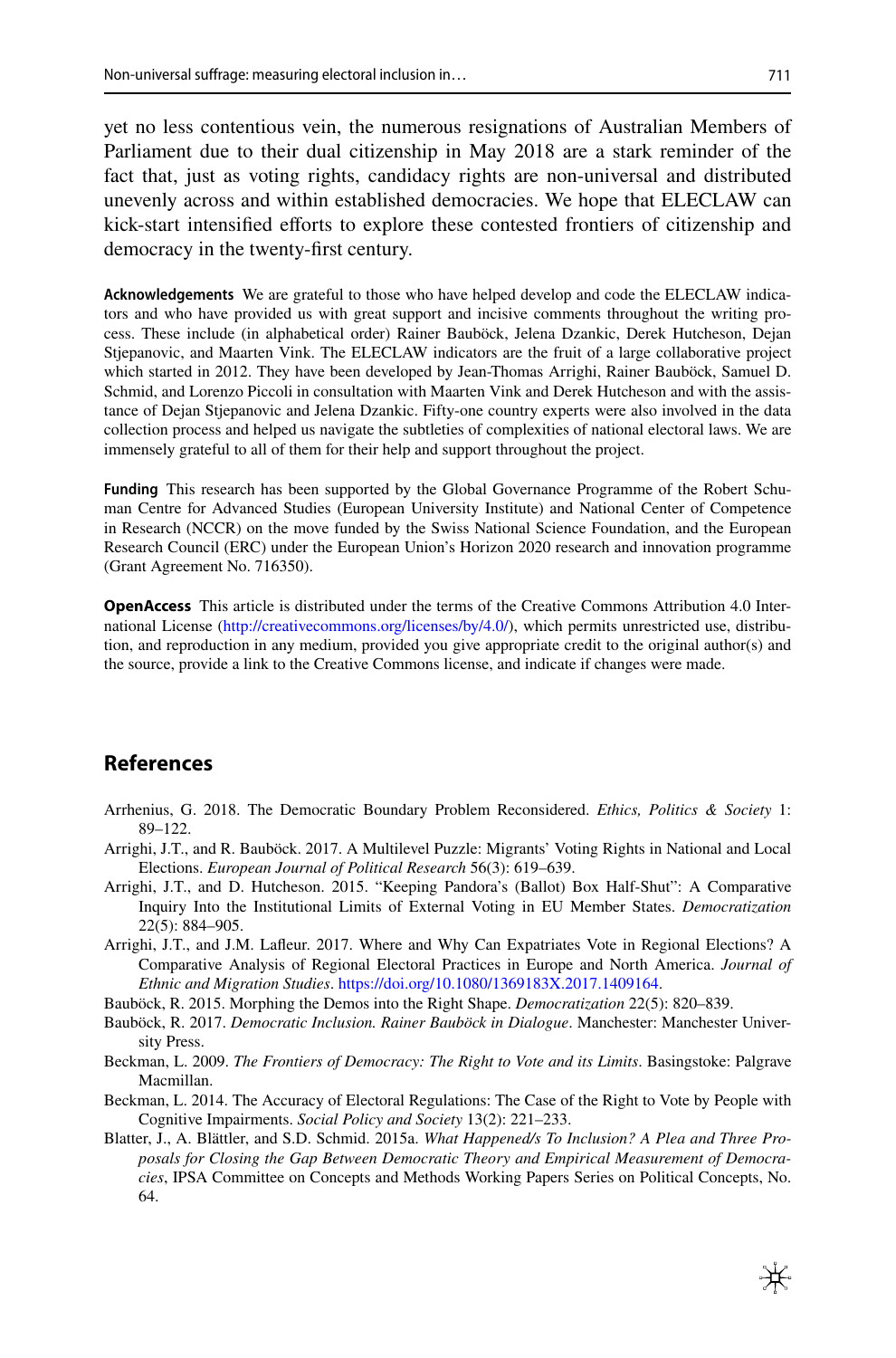yet no less contentious vein, the numerous resignations of Australian Members of Parliament due to their dual citizenship in May 2018 are a stark reminder of the fact that, just as voting rights, candidacy rights are non-universal and distributed unevenly across and within established democracies. We hope that ELECLAW can kick-start intensifed eforts to explore these contested frontiers of citizenship and democracy in the twenty-frst century.

**Acknowledgements** We are grateful to those who have helped develop and code the ELECLAW indicators and who have provided us with great support and incisive comments throughout the writing process. These include (in alphabetical order) Rainer Bauböck, Jelena Dzankic, Derek Hutcheson, Dejan Stjepanovic, and Maarten Vink. The ELECLAW indicators are the fruit of a large collaborative project which started in 2012. They have been developed by Jean-Thomas Arrighi, Rainer Bauböck, Samuel D. Schmid, and Lorenzo Piccoli in consultation with Maarten Vink and Derek Hutcheson and with the assistance of Dejan Stjepanovic and Jelena Dzankic. Fifty-one country experts were also involved in the data collection process and helped us navigate the subtleties of complexities of national electoral laws. We are immensely grateful to all of them for their help and support throughout the project.

**Funding** This research has been supported by the Global Governance Programme of the Robert Schuman Centre for Advanced Studies (European University Institute) and National Center of Competence in Research (NCCR) on the move funded by the Swiss National Science Foundation, and the European Research Council (ERC) under the European Union's Horizon 2020 research and innovation programme (Grant Agreement No. 716350).

**OpenAccess** This article is distributed under the terms of the Creative Commons Attribution 4.0 International License (<http://creativecommons.org/licenses/by/4.0/>), which permits unrestricted use, distribution, and reproduction in any medium, provided you give appropriate credit to the original author(s) and the source, provide a link to the Creative Commons license, and indicate if changes were made.

# **References**

- <span id="page-16-2"></span>Arrhenius, G. 2018. The Democratic Boundary Problem Reconsidered. *Ethics, Politics & Society* 1: 89–122.
- <span id="page-16-0"></span>Arrighi, J.T., and R. Bauböck. 2017. A Multilevel Puzzle: Migrants' Voting Rights in National and Local Elections. *European Journal of Political Research* 56(3): 619–639.
- <span id="page-16-6"></span>Arrighi, J.T., and D. Hutcheson. 2015. "Keeping Pandora's (Ballot) Box Half-Shut": A Comparative Inquiry Into the Institutional Limits of External Voting in EU Member States. *Democratization* 22(5): 884–905.
- <span id="page-16-8"></span>Arrighi, J.T., and J.M. Lafeur. 2017. Where and Why Can Expatriates Vote in Regional Elections? A Comparative Analysis of Regional Electoral Practices in Europe and North America. *Journal of Ethnic and Migration Studies*.<https://doi.org/10.1080/1369183X.2017.1409164>.
- <span id="page-16-3"></span>Bauböck, R. 2015. Morphing the Demos into the Right Shape. *Democratization* 22(5): 820–839.
- <span id="page-16-4"></span>Bauböck, R. 2017. *Democratic Inclusion. Rainer Bauböck in Dialogue*. Manchester: Manchester University Press.
- <span id="page-16-5"></span>Beckman, L. 2009. *The Frontiers of Democracy: The Right to Vote and its Limits*. Basingstoke: Palgrave Macmillan.
- <span id="page-16-7"></span>Beckman, L. 2014. The Accuracy of Electoral Regulations: The Case of the Right to Vote by People with Cognitive Impairments. *Social Policy and Society* 13(2): 221–233.
- <span id="page-16-1"></span>Blatter, J., A. Blättler, and S.D. Schmid. 2015a. *What Happened/s To Inclusion? A Plea and Three Proposals for Closing the Gap Between Democratic Theory and Empirical Measurement of Democracies*, IPSA Committee on Concepts and Methods Working Papers Series on Political Concepts, No. 64.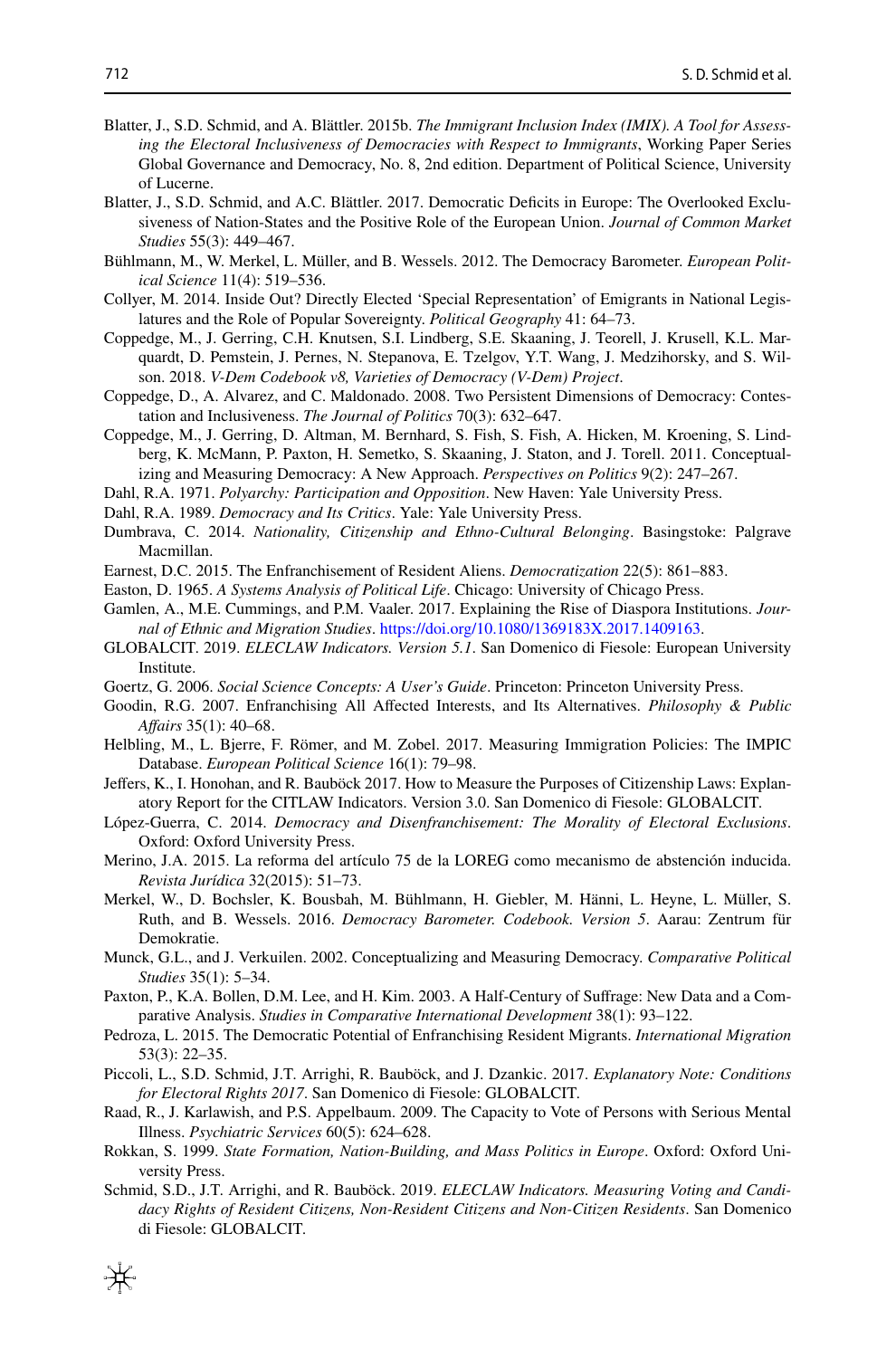- <span id="page-17-17"></span>Blatter, J., S.D. Schmid, and A. Blättler. 2015b. *The Immigrant Inclusion Index (IMIX). A Tool for Assessing the Electoral Inclusiveness of Democracies with Respect to Immigrants*, Working Paper Series Global Governance and Democracy, No. 8, 2nd edition. Department of Political Science, University of Lucerne.
- <span id="page-17-18"></span>Blatter, J., S.D. Schmid, and A.C. Blättler. 2017. Democratic Deficits in Europe: The Overlooked Exclusiveness of Nation-States and the Positive Role of the European Union. *Journal of Common Market Studies* 55(3): 449–467.
- <span id="page-17-12"></span>Bühlmann, M., W. Merkel, L. Müller, and B. Wessels. 2012. The Democracy Barometer. *European Political Science* 11(4): 519–536.
- <span id="page-17-21"></span>Collyer, M. 2014. Inside Out? Directly Elected 'Special Representation' of Emigrants in National Legislatures and the Role of Popular Sovereignty. *Political Geography* 41: 64–73.
- <span id="page-17-15"></span>Coppedge, M., J. Gerring, C.H. Knutsen, S.I. Lindberg, S.E. Skaaning, J. Teorell, J. Krusell, K.L. Marquardt, D. Pemstein, J. Pernes, N. Stepanova, E. Tzelgov, Y.T. Wang, J. Medzihorsky, and S. Wilson. 2018. *V-Dem Codebook v8, Varieties of Democracy (V-Dem) Project*.
- <span id="page-17-11"></span>Coppedge, D., A. Alvarez, and C. Maldonado. 2008. Two Persistent Dimensions of Democracy: Contestation and Inclusiveness. *The Journal of Politics* 70(3): 632–647.
- <span id="page-17-14"></span>Coppedge, M., J. Gerring, D. Altman, M. Bernhard, S. Fish, S. Fish, A. Hicken, M. Kroening, S. Lindberg, K. McMann, P. Paxton, H. Semetko, S. Skaaning, J. Staton, and J. Torell. 2011. Conceptualizing and Measuring Democracy: A New Approach. *Perspectives on Politics* 9(2): 247–267.
- <span id="page-17-10"></span>Dahl, R.A. 1971. *Polyarchy: Participation and Opposition*. New Haven: Yale University Press.
- <span id="page-17-6"></span>Dahl, R.A. 1989. *Democracy and Its Critics*. Yale: Yale University Press.
- <span id="page-17-22"></span>Dumbrava, C. 2014. *Nationality, Citizenship and Ethno-Cultural Belonging*. Basingstoke: Palgrave Macmillan.
- <span id="page-17-1"></span>Earnest, D.C. 2015. The Enfranchisement of Resident Aliens. *Democratization* 22(5): 861–883.
- <span id="page-17-19"></span>Easton, D. 1965. *A Systems Analysis of Political Life*. Chicago: University of Chicago Press.
- <span id="page-17-26"></span>Gamlen, A., M.E. Cummings, and P.M. Vaaler. 2017. Explaining the Rise of Diaspora Institutions. *Journal of Ethnic and Migration Studies*. [https://doi.org/10.1080/1369183X.2017.1409163.](https://doi.org/10.1080/1369183X.2017.1409163)
- <span id="page-17-3"></span>GLOBALCIT. 2019. *ELECLAW Indicators. Version 5.1*. San Domenico di Fiesole: European University Institute.
- <span id="page-17-25"></span>Goertz, G. 2006. *Social Science Concepts: A User's Guide*. Princeton: Princeton University Press.
- <span id="page-17-8"></span>Goodin, R.G. 2007. Enfranchising All Afected Interests, and Its Alternatives. *Philosophy & Public Afairs* 35(1): 40–68.
- <span id="page-17-20"></span>Helbling, M., L. Bjerre, F. Römer, and M. Zobel. 2017. Measuring Immigration Policies: The IMPIC Database. *European Political Science* 16(1): 79–98.
- <span id="page-17-27"></span>Jefers, K., I. Honohan, and R. Bauböck 2017. How to Measure the Purposes of Citizenship Laws: Explanatory Report for the CITLAW Indicators. Version 3.0. San Domenico di Fiesole: GLOBALCIT.
- <span id="page-17-9"></span>López-Guerra, C. 2014. *Democracy and Disenfranchisement: The Morality of Electoral Exclusions*. Oxford: Oxford University Press.
- <span id="page-17-24"></span>Merino, J.A. 2015. La reforma del artículo 75 de la LOREG como mecanismo de abstención inducida. *Revista Jurídica* 32(2015): 51–73.
- <span id="page-17-13"></span>Merkel, W., D. Bochsler, K. Bousbah, M. Bühlmann, H. Giebler, M. Hänni, L. Heyne, L. Müller, S. Ruth, and B. Wessels. 2016. *Democracy Barometer. Codebook. Version 5*. Aarau: Zentrum für Demokratie.
- <span id="page-17-4"></span>Munck, G.L., and J. Verkuilen. 2002. Conceptualizing and Measuring Democracy. *Comparative Political Studies* 35(1): 5–34.
- <span id="page-17-16"></span>Paxton, P., K.A. Bollen, D.M. Lee, and H. Kim. 2003. A Half-Century of Sufrage: New Data and a Comparative Analysis. *Studies in Comparative International Development* 38(1): 93–122.
- <span id="page-17-2"></span>Pedroza, L. 2015. The Democratic Potential of Enfranchising Resident Migrants. *International Migration* 53(3): 22–35.
- <span id="page-17-7"></span>Piccoli, L., S.D. Schmid, J.T. Arrighi, R. Bauböck, and J. Dzankic. 2017. *Explanatory Note: Conditions for Electoral Rights 2017*. San Domenico di Fiesole: GLOBALCIT.
- <span id="page-17-23"></span>Raad, R., J. Karlawish, and P.S. Appelbaum. 2009. The Capacity to Vote of Persons with Serious Mental Illness. *Psychiatric Services* 60(5): 624–628.
- <span id="page-17-0"></span>Rokkan, S. 1999. *State Formation, Nation-Building, and Mass Politics in Europe*. Oxford: Oxford University Press.
- <span id="page-17-5"></span>Schmid, S.D., J.T. Arrighi, and R. Bauböck. 2019. *ELECLAW Indicators. Measuring Voting and Candidacy Rights of Resident Citizens, Non-Resident Citizens and Non-Citizen Residents*. San Domenico di Fiesole: GLOBALCIT.